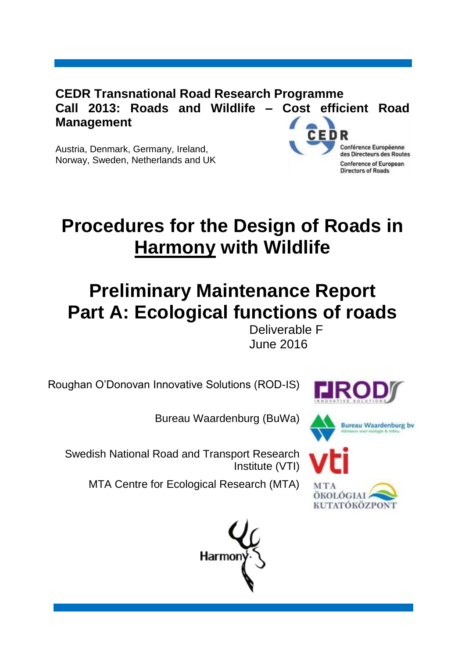**CEDR Transnational Road Research Programme Call 2013: Roads and Wildlife – Cost efficient Road Management**

Austria, Denmark, Germany, Ireland, Norway, Sweden, Netherlands and UK



# **Procedures for the Design of Roads in Harmony with Wildlife**

# **Preliminary Maintenance Report Part A: Ecological functions of roads**

Deliverable F June 2016

Roughan O'Donovan Innovative Solutions (ROD-IS)



Bureau Waardenburg (BuWa)



Swedish National Road and Transport Research Institute (VTI)

ÖKOLÓGIA KUTATÓKÖZPON<sup>-</sup>

MTA Centre for Ecological Research (MTA)

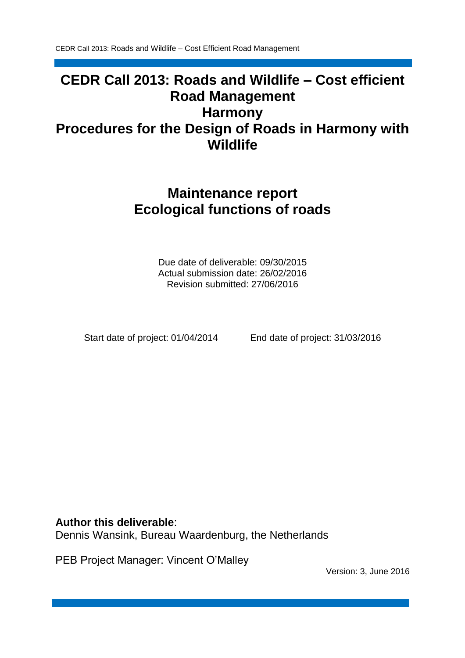# **CEDR Call 2013: Roads and Wildlife – Cost efficient Road Management Harmony Procedures for the Design of Roads in Harmony with Wildlife**

# **Maintenance report Ecological functions of roads**

Due date of deliverable: 09/30/2015 Actual submission date: 26/02/2016 Revision submitted: 27/06/2016

Start date of project: 01/04/2014 End date of project: 31/03/2016

#### **Author this deliverable**:

Dennis Wansink, Bureau Waardenburg, the Netherlands

PEB Project Manager: Vincent O'Malley

Version: 3, June 2016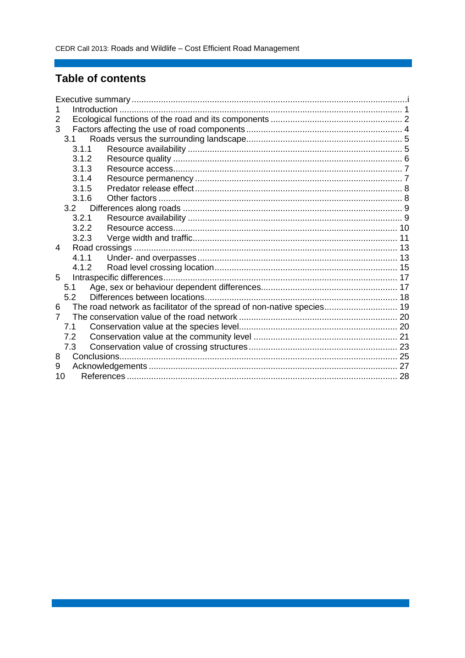### **Table of contents**

| 2     |                                                                        |  |
|-------|------------------------------------------------------------------------|--|
| 3     |                                                                        |  |
| 3.1   |                                                                        |  |
| 3.1.1 |                                                                        |  |
| 3.1.2 |                                                                        |  |
| 3.1.3 |                                                                        |  |
| 3.1.4 |                                                                        |  |
| 3.1.5 |                                                                        |  |
| 3.1.6 |                                                                        |  |
| 3.2   |                                                                        |  |
| 3.2.1 |                                                                        |  |
| 3.2.2 |                                                                        |  |
| 3.2.3 |                                                                        |  |
| 4     |                                                                        |  |
| 4.1.1 |                                                                        |  |
| 4.1.2 |                                                                        |  |
| 5     |                                                                        |  |
| 5.1   |                                                                        |  |
| 5.2   |                                                                        |  |
| 6     | The road network as facilitator of the spread of non-native species 19 |  |
| 7     |                                                                        |  |
| 7.1   |                                                                        |  |
| 7.2   |                                                                        |  |
| 7.3   |                                                                        |  |
| 8     |                                                                        |  |
| 9     |                                                                        |  |
| 10    |                                                                        |  |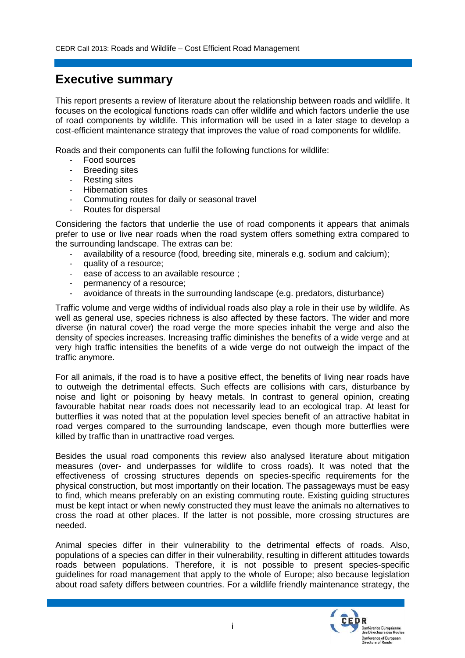### **Executive summary**

This report presents a review of literature about the relationship between roads and wildlife. It focuses on the ecological functions roads can offer wildlife and which factors underlie the use of road components by wildlife. This information will be used in a later stage to develop a cost-efficient maintenance strategy that improves the value of road components for wildlife.

Roads and their components can fulfil the following functions for wildlife:

- Food sources
- **Breeding sites**
- Resting sites
- Hibernation sites
- Commuting routes for daily or seasonal travel
- Routes for dispersal

Considering the factors that underlie the use of road components it appears that animals prefer to use or live near roads when the road system offers something extra compared to the surrounding landscape. The extras can be:

- availability of a resource (food, breeding site, minerals e.g. sodium and calcium);
- quality of a resource;
- ease of access to an available resource ;
- permanency of a resource;
- avoidance of threats in the surrounding landscape (e.g. predators, disturbance)

Traffic volume and verge widths of individual roads also play a role in their use by wildlife. As well as general use, species richness is also affected by these factors. The wider and more diverse (in natural cover) the road verge the more species inhabit the verge and also the density of species increases. Increasing traffic diminishes the benefits of a wide verge and at very high traffic intensities the benefits of a wide verge do not outweigh the impact of the traffic anymore.

For all animals, if the road is to have a positive effect, the benefits of living near roads have to outweigh the detrimental effects. Such effects are collisions with cars, disturbance by noise and light or poisoning by heavy metals. In contrast to general opinion, creating favourable habitat near roads does not necessarily lead to an ecological trap. At least for butterflies it was noted that at the population level species benefit of an attractive habitat in road verges compared to the surrounding landscape, even though more butterflies were killed by traffic than in unattractive road verges.

Besides the usual road components this review also analysed literature about mitigation measures (over- and underpasses for wildlife to cross roads). It was noted that the effectiveness of crossing structures depends on species-specific requirements for the physical construction, but most importantly on their location. The passageways must be easy to find, which means preferably on an existing commuting route. Existing guiding structures must be kept intact or when newly constructed they must leave the animals no alternatives to cross the road at other places. If the latter is not possible, more crossing structures are needed.

Animal species differ in their vulnerability to the detrimental effects of roads. Also, populations of a species can differ in their vulnerability, resulting in different attitudes towards roads between populations. Therefore, it is not possible to present species-specific guidelines for road management that apply to the whole of Europe; also because legislation about road safety differs between countries. For a wildlife friendly maintenance strategy, the

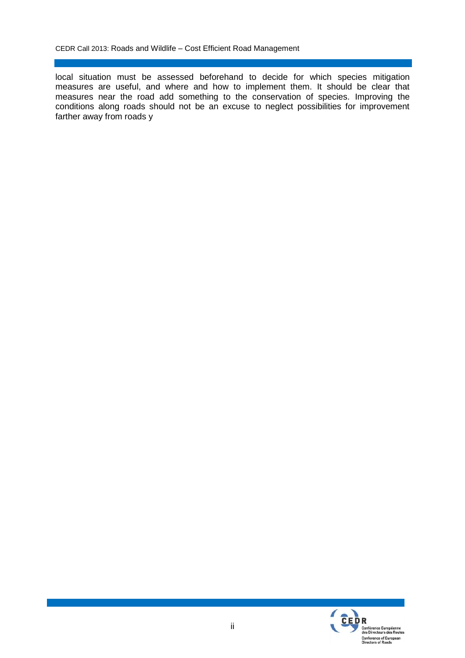local situation must be assessed beforehand to decide for which species mitigation measures are useful, and where and how to implement them. It should be clear that measures near the road add something to the conservation of species. Improving the conditions along roads should not be an excuse to neglect possibilities for improvement farther away from roads y

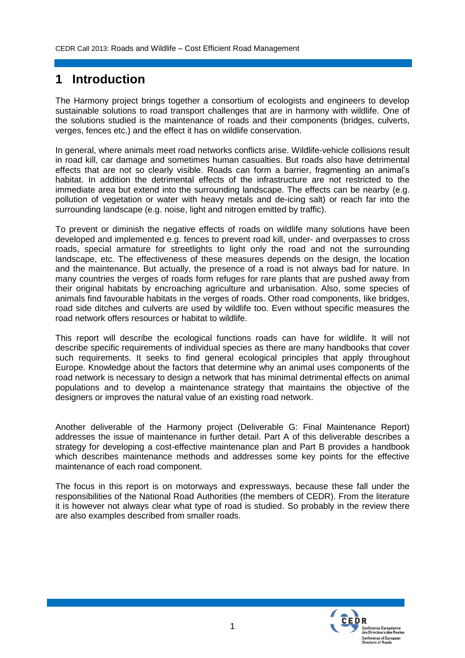# **1 Introduction**

The Harmony project brings together a consortium of ecologists and engineers to develop sustainable solutions to road transport challenges that are in harmony with wildlife. One of the solutions studied is the maintenance of roads and their components (bridges, culverts, verges, fences etc.) and the effect it has on wildlife conservation.

In general, where animals meet road networks conflicts arise. Wildlife-vehicle collisions result in road kill, car damage and sometimes human casualties. But roads also have detrimental effects that are not so clearly visible. Roads can form a barrier, fragmenting an animal's habitat. In addition the detrimental effects of the infrastructure are not restricted to the immediate area but extend into the surrounding landscape. The effects can be nearby (e.g. pollution of vegetation or water with heavy metals and de-icing salt) or reach far into the surrounding landscape (e.g. noise, light and nitrogen emitted by traffic).

To prevent or diminish the negative effects of roads on wildlife many solutions have been developed and implemented e.g. fences to prevent road kill, under- and overpasses to cross roads, special armature for streetlights to light only the road and not the surrounding landscape, etc. The effectiveness of these measures depends on the design, the location and the maintenance. But actually, the presence of a road is not always bad for nature. In many countries the verges of roads form refuges for rare plants that are pushed away from their original habitats by encroaching agriculture and urbanisation. Also, some species of animals find favourable habitats in the verges of roads. Other road components, like bridges, road side ditches and culverts are used by wildlife too. Even without specific measures the road network offers resources or habitat to wildlife.

This report will describe the ecological functions roads can have for wildlife. It will not describe specific requirements of individual species as there are many handbooks that cover such requirements. It seeks to find general ecological principles that apply throughout Europe. Knowledge about the factors that determine why an animal uses components of the road network is necessary to design a network that has minimal detrimental effects on animal populations and to develop a maintenance strategy that maintains the objective of the designers or improves the natural value of an existing road network.

Another deliverable of the Harmony project (Deliverable G: Final Maintenance Report) addresses the issue of maintenance in further detail. Part A of this deliverable describes a strategy for developing a cost-effective maintenance plan and Part B provides a handbook which describes maintenance methods and addresses some key points for the effective maintenance of each road component.

The focus in this report is on motorways and expressways, because these fall under the responsibilities of the National Road Authorities (the members of CEDR). From the literature it is however not always clear what type of road is studied. So probably in the review there are also examples described from smaller roads.

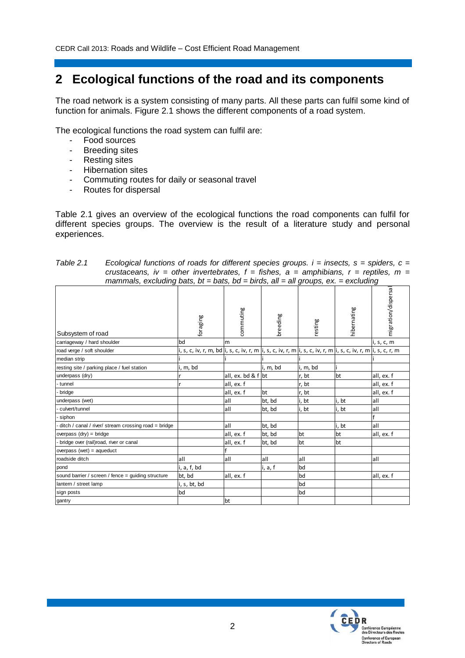## **2 Ecological functions of the road and its components**

The road network is a system consisting of many parts. All these parts can fulfil some kind of function for animals. Figure 2.1 shows the different components of a road system.

The ecological functions the road system can fulfil are:

- Food sources
- Breeding sites
- Resting sites
- Hibernation sites
- Commuting routes for daily or seasonal travel
- Routes for dispersal

Table 2.1 gives an overview of the ecological functions the road components can fulfil for different species groups. The overview is the result of a literature study and personal experiences.

| Table 2.1 | Ecological functions of roads for different species groups. $i =$ insects, $s =$ spiders, $c =$ |
|-----------|-------------------------------------------------------------------------------------------------|
|           | crustaceans, iv = other invertebrates, $f =$ fishes, $a =$ amphibians, $r =$ reptiles, $m =$    |
|           | mammals, excluding bats, $bt = bats$ , $bd = birds$ , all = all groups, $ex = excluding$        |

|                                                      |                                                                                                                    |                      |          | ◡        |             | ◡                   |
|------------------------------------------------------|--------------------------------------------------------------------------------------------------------------------|----------------------|----------|----------|-------------|---------------------|
| Subsystem of road                                    | foraging                                                                                                           | commuting            | breeding | resting  | hibernating | migration/dispersal |
| carriageway / hard shoulder                          | bd                                                                                                                 | m                    |          |          |             | i, s, c, m          |
| road verge / soft shoulder                           | i, s, c, iv, r, m, bd i, s, <u>c, iv, r, m i,</u> s, c, iv, r, m i, s, c, iv, r, m i, s, c, iv, r, m i, s, c, r, m |                      |          |          |             |                     |
| median strip                                         |                                                                                                                    |                      |          |          |             |                     |
| resting site / parking place / fuel station          | i, m, bd                                                                                                           |                      | i, m, bd | i, m, bd |             |                     |
| underpass (dry)                                      |                                                                                                                    | all, ex. bd & $f$ bt |          | r, bt    | bt          | all, ex. f          |
| tunnel                                               |                                                                                                                    | all, ex. f           |          | r, bt    |             | all, ex. f          |
| bridge                                               |                                                                                                                    | all, ex. f           | bt       | r, bt    |             | all, ex. f          |
| underpass (wet)                                      |                                                                                                                    | all                  | bt, bd   | i, bt    | i, bt       | all                 |
| culvert/tunnel                                       |                                                                                                                    | all                  | bt, bd   | i, bt    | i, bt       | all                 |
| siphon                                               |                                                                                                                    |                      |          |          |             |                     |
| ditch / canal / river/ stream crossing road = bridge |                                                                                                                    | all                  | bt, bd   |          | i, bt       | all                 |
| overpass $(dry) = bridge$                            |                                                                                                                    | all, ex. f           | bt, bd   | bt       | bt          | all, ex. f          |
| bridge over (rail)road, river or canal               |                                                                                                                    | all, ex. f           | bt, bd   | bt       | bt          |                     |
| overpass (wet) = $aqueduct$                          |                                                                                                                    |                      |          |          |             |                     |
| roadside ditch                                       | all                                                                                                                | all                  | all      | all      |             | all                 |
| pond                                                 | i, a, f, bd                                                                                                        |                      | i, a, f  | bd       |             |                     |
| sound barrier / screen / fence = guiding structure   | bt, bd                                                                                                             | all, ex. f           |          | bd       |             | all, ex. f          |
| lantern / street lamp                                | i, s, bt, bd                                                                                                       |                      |          | bd       |             |                     |
| sign posts                                           | bd                                                                                                                 |                      |          | bd       |             |                     |
| gantry                                               |                                                                                                                    | bt                   |          |          |             |                     |
|                                                      |                                                                                                                    |                      |          |          |             |                     |

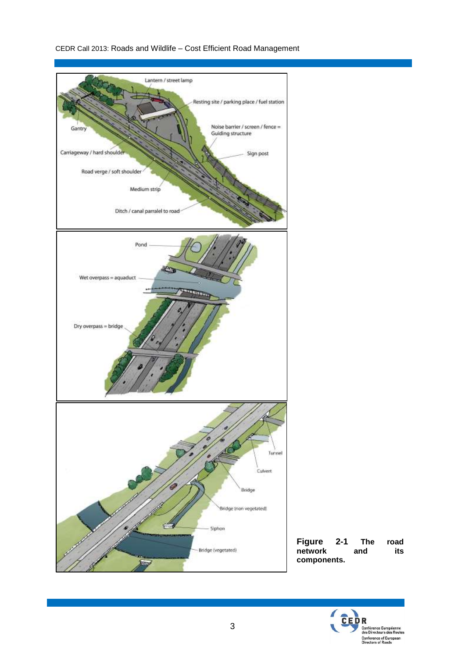

**Figure 2-1 The road**   $ne^{\text{t}}$  **network components.**

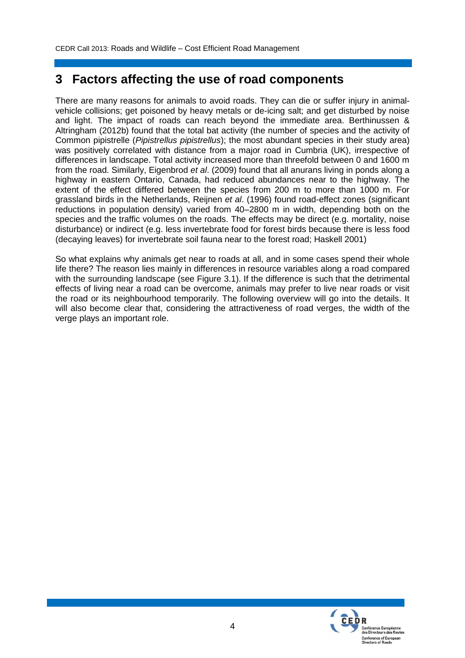### **3 Factors affecting the use of road components**

There are many reasons for animals to avoid roads. They can die or suffer injury in animalvehicle collisions; get poisoned by heavy metals or de-icing salt; and get disturbed by noise and light. The impact of roads can reach beyond the immediate area. Berthinussen & Altringham (2012b) found that the total bat activity (the number of species and the activity of Common pipistrelle (*Pipistrellus pipistrellus*); the most abundant species in their study area) was positively correlated with distance from a major road in Cumbria (UK), irrespective of differences in landscape. Total activity increased more than threefold between 0 and 1600 m from the road. Similarly, Eigenbrod *et al*. (2009) found that all anurans living in ponds along a highway in eastern Ontario, Canada, had reduced abundances near to the highway. The extent of the effect differed between the species from 200 m to more than 1000 m. For grassland birds in the Netherlands, Reijnen *et al*. (1996) found road-effect zones (significant reductions in population density) varied from 40–2800 m in width, depending both on the species and the traffic volumes on the roads. The effects may be direct (e.g. mortality, noise disturbance) or indirect (e.g. less invertebrate food for forest birds because there is less food (decaying leaves) for invertebrate soil fauna near to the forest road; Haskell 2001)

So what explains why animals get near to roads at all, and in some cases spend their whole life there? The reason lies mainly in differences in resource variables along a road compared with the surrounding landscape (see Figure 3.1). If the difference is such that the detrimental effects of living near a road can be overcome, animals may prefer to live near roads or visit the road or its neighbourhood temporarily. The following overview will go into the details. It will also become clear that, considering the attractiveness of road verges, the width of the verge plays an important role.

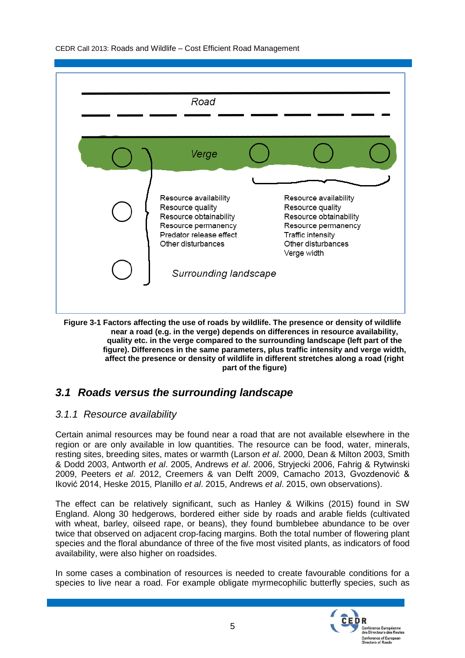| Road                                                                                                                                        |                                                                                                                                       |  |
|---------------------------------------------------------------------------------------------------------------------------------------------|---------------------------------------------------------------------------------------------------------------------------------------|--|
| Verge                                                                                                                                       |                                                                                                                                       |  |
| Resource availability<br>Resource quality<br>Resource obtainability<br>Resource permanency<br>Predator release effect<br>Other disturbances | Resource availability<br>Resource quality<br>Resource obtainability<br>Resource permanency<br>Traffic intensity<br>Other disturbances |  |
| Surrounding landscape                                                                                                                       | Verge width                                                                                                                           |  |

**Figure 3-1 Factors affecting the use of roads by wildlife. The presence or density of wildlife near a road (e.g. in the verge) depends on differences in resource availability, quality etc. in the verge compared to the surrounding landscape (left part of the figure). Differences in the same parameters, plus traffic intensity and verge width, affect the presence or density of wildlife in different stretches along a road (right part of the figure)**

#### *3.1 Roads versus the surrounding landscape*

#### *3.1.1 Resource availability*

Certain animal resources may be found near a road that are not available elsewhere in the region or are only available in low quantities. The resource can be food, water, minerals, resting sites, breeding sites, mates or warmth (Larson *et al*. 2000, Dean & Milton 2003, Smith & Dodd 2003, Antworth *et al*. 2005, Andrews *et al*. 2006, Stryjecki 2006, Fahrig & Rytwinski 2009, Peeters *et al*. 2012, Creemers & van Delft 2009, Camacho 2013, Gvozdenović & Iković 2014, Heske 2015, Planillo *et al*. 2015, Andrews *et al*. 2015, own observations).

The effect can be relatively significant, such as Hanley & Wilkins (2015) found in SW England. Along 30 hedgerows, bordered either side by roads and arable fields (cultivated with wheat, barley, oilseed rape, or beans), they found bumblebee abundance to be over twice that observed on adjacent crop-facing margins. Both the total number of flowering plant species and the floral abundance of three of the five most visited plants, as indicators of food availability, were also higher on roadsides.

In some cases a combination of resources is needed to create favourable conditions for a species to live near a road. For example obligate myrmecophilic butterfly species, such as

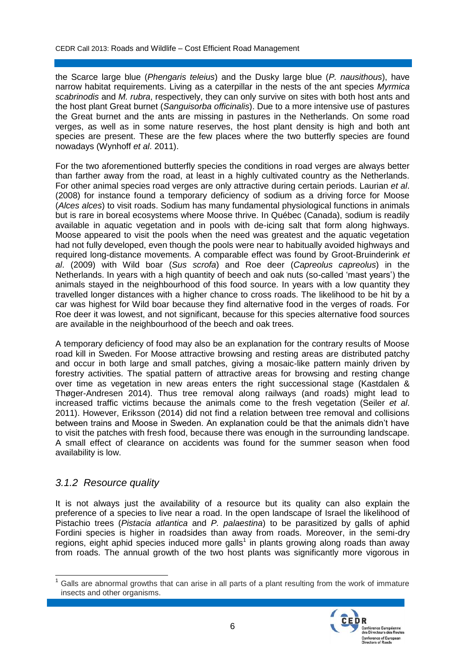the Scarce large blue (*Phengaris teleius*) and the Dusky large blue (*P. nausithous*), have narrow habitat requirements. Living as a caterpillar in the nests of the ant species *Myrmica scabrinodis* and *M. rubra*, respectively, they can only survive on sites with both host ants and the host plant Great burnet (*Sanguisorba officinalis*). Due to a more intensive use of pastures the Great burnet and the ants are missing in pastures in the Netherlands. On some road verges, as well as in some nature reserves, the host plant density is high and both ant species are present. These are the few places where the two butterfly species are found nowadays (Wynhoff *et al*. 2011).

For the two aforementioned butterfly species the conditions in road verges are always better than farther away from the road, at least in a highly cultivated country as the Netherlands. For other animal species road verges are only attractive during certain periods. Laurian *et al*. (2008) for instance found a temporary deficiency of sodium as a driving force for Moose (*Alces alces*) to visit roads. Sodium has many fundamental physiological functions in animals but is rare in boreal ecosystems where Moose thrive. In Québec (Canada), sodium is readily available in aquatic vegetation and in pools with de-icing salt that form along highways. Moose appeared to visit the pools when the need was greatest and the aquatic vegetation had not fully developed, even though the pools were near to habitually avoided highways and required long-distance movements. A comparable effect was found by Groot-Bruinderink *et al*. (2009) with Wild boar (*Sus scrofa*) and Roe deer (*Capreolus capreolus*) in the Netherlands. In years with a high quantity of beech and oak nuts (so-called 'mast years') the animals stayed in the neighbourhood of this food source. In years with a low quantity they travelled longer distances with a higher chance to cross roads. The likelihood to be hit by a car was highest for Wild boar because they find alternative food in the verges of roads. For Roe deer it was lowest, and not significant, because for this species alternative food sources are available in the neighbourhood of the beech and oak trees.

A temporary deficiency of food may also be an explanation for the contrary results of Moose road kill in Sweden. For Moose attractive browsing and resting areas are distributed patchy and occur in both large and small patches, giving a mosaic-like pattern mainly driven by forestry activities. The spatial pattern of attractive areas for browsing and resting change over time as vegetation in new areas enters the right successional stage (Kastdalen & Thøger-Andresen 2014). Thus tree removal along railways (and roads) might lead to increased traffic victims because the animals come to the fresh vegetation (Seiler *et al*. 2011). However, Eriksson (2014) did not find a relation between tree removal and collisions between trains and Moose in Sweden. An explanation could be that the animals didn't have to visit the patches with fresh food, because there was enough in the surrounding landscape. A small effect of clearance on accidents was found for the summer season when food availability is low.

#### *3.1.2 Resource quality*

It is not always just the availability of a resource but its quality can also explain the preference of a species to live near a road. In the open landscape of Israel the likelihood of Pistachio trees (*Pistacia atlantica* and *P. palaestina*) to be parasitized by galls of aphid Fordini species is higher in roadsides than away from roads. Moreover, in the semi-dry regions, eight aphid species induced more galls<sup>1</sup> in plants growing along roads than away from roads. The annual growth of the two host plants was significantly more vigorous in

 $\overline{a}$ Galls are abnormal growths that can arise in all parts of a plant resulting from the work of immature insects and other organisms.

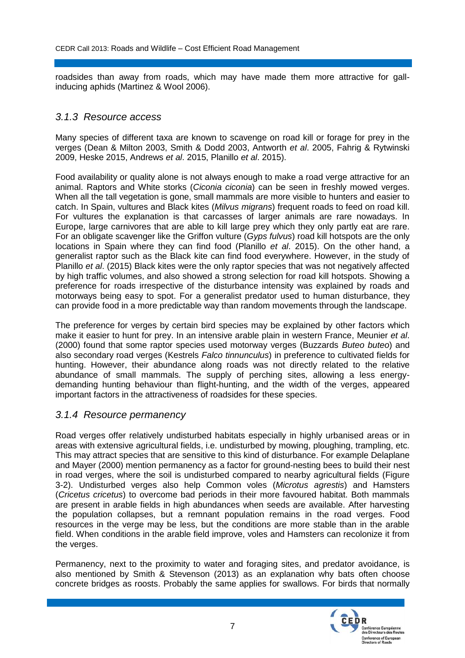roadsides than away from roads, which may have made them more attractive for gallinducing aphids (Martinez & Wool 2006).

#### *3.1.3 Resource access*

Many species of different taxa are known to scavenge on road kill or forage for prey in the verges (Dean & Milton 2003, Smith & Dodd 2003, Antworth *et al*. 2005, Fahrig & Rytwinski 2009, Heske 2015, Andrews *et al*. 2015, Planillo *et al*. 2015).

Food availability or quality alone is not always enough to make a road verge attractive for an animal. Raptors and White storks (*Ciconia ciconia*) can be seen in freshly mowed verges. When all the tall vegetation is gone, small mammals are more visible to hunters and easier to catch. In Spain, vultures and Black kites (*Milvus migrans*) frequent roads to feed on road kill. For vultures the explanation is that carcasses of larger animals are rare nowadays. In Europe, large carnivores that are able to kill large prey which they only partly eat are rare. For an obligate scavenger like the Griffon vulture (*Gyps fulvus*) road kill hotspots are the only locations in Spain where they can find food (Planillo *et al*. 2015). On the other hand, a generalist raptor such as the Black kite can find food everywhere. However, in the study of Planillo *et al*. (2015) Black kites were the only raptor species that was not negatively affected by high traffic volumes, and also showed a strong selection for road kill hotspots. Showing a preference for roads irrespective of the disturbance intensity was explained by roads and motorways being easy to spot. For a generalist predator used to human disturbance, they can provide food in a more predictable way than random movements through the landscape.

The preference for verges by certain bird species may be explained by other factors which make it easier to hunt for prey. In an intensive arable plain in western France, Meunier *et al*. (2000) found that some raptor species used motorway verges (Buzzards *Buteo buteo*) and also secondary road verges (Kestrels *Falco tinnunculus*) in preference to cultivated fields for hunting. However, their abundance along roads was not directly related to the relative abundance of small mammals. The supply of perching sites, allowing a less energydemanding hunting behaviour than flight-hunting, and the width of the verges, appeared important factors in the attractiveness of roadsides for these species.

#### *3.1.4 Resource permanency*

Road verges offer relatively undisturbed habitats especially in highly urbanised areas or in areas with extensive agricultural fields, i.e. undisturbed by mowing, ploughing, trampling, etc. This may attract species that are sensitive to this kind of disturbance. For example Delaplane and Mayer (2000) mention permanency as a factor for ground-nesting bees to build their nest in road verges, where the soil is undisturbed compared to nearby agricultural fields [\(Figure](#page-12-0)  [3-2\)](#page-12-0). Undisturbed verges also help Common voles (*Microtus agrestis*) and Hamsters (*Cricetus cricetus*) to overcome bad periods in their more favoured habitat. Both mammals are present in arable fields in high abundances when seeds are available. After harvesting the population collapses, but a remnant population remains in the road verges. Food resources in the verge may be less, but the conditions are more stable than in the arable field. When conditions in the arable field improve, voles and Hamsters can recolonize it from the verges.

Permanency, next to the proximity to water and foraging sites, and predator avoidance, is also mentioned by Smith & Stevenson (2013) as an explanation why bats often choose concrete bridges as roosts. Probably the same applies for swallows. For birds that normally

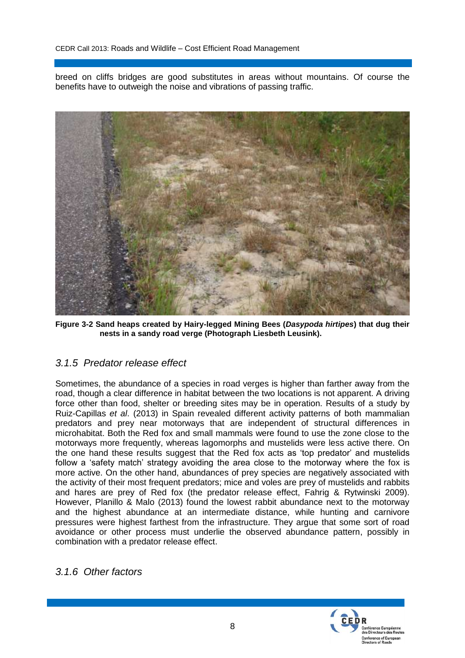breed on cliffs bridges are good substitutes in areas without mountains. Of course the benefits have to outweigh the noise and vibrations of passing traffic.



**Figure 3-2 Sand heaps created by Hairy-legged Mining Bees (***Dasypoda hirtipes***) that dug their nests in a sandy road verge (Photograph Liesbeth Leusink).**

#### <span id="page-12-0"></span>*3.1.5 Predator release effect*

Sometimes, the abundance of a species in road verges is higher than farther away from the road, though a clear difference in habitat between the two locations is not apparent. A driving force other than food, shelter or breeding sites may be in operation. Results of a study by Ruiz-Capillas *et al*. (2013) in Spain revealed different activity patterns of both mammalian predators and prey near motorways that are independent of structural differences in microhabitat. Both the Red fox and small mammals were found to use the zone close to the motorways more frequently, whereas lagomorphs and mustelids were less active there. On the one hand these results suggest that the Red fox acts as 'top predator' and mustelids follow a 'safety match' strategy avoiding the area close to the motorway where the fox is more active. On the other hand, abundances of prey species are negatively associated with the activity of their most frequent predators; mice and voles are prey of mustelids and rabbits and hares are prey of Red fox (the predator release effect, Fahrig & Rytwinski 2009). However, Planillo & Malo (2013) found the lowest rabbit abundance next to the motorway and the highest abundance at an intermediate distance, while hunting and carnivore pressures were highest farthest from the infrastructure. They argue that some sort of road avoidance or other process must underlie the observed abundance pattern, possibly in combination with a predator release effect.

*3.1.6 Other factors*

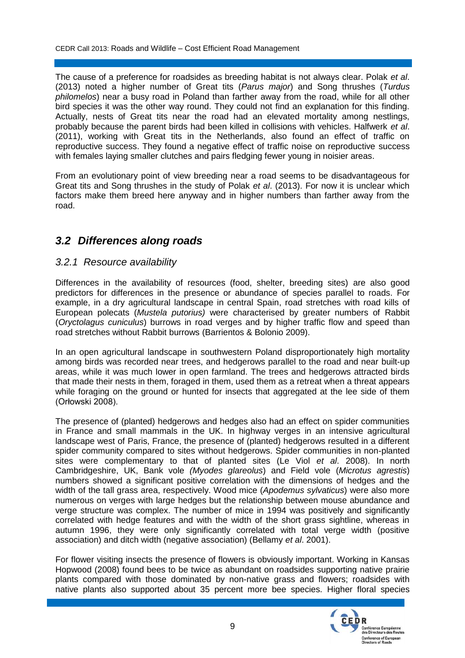The cause of a preference for roadsides as breeding habitat is not always clear. Polak *et al*. (2013) noted a higher number of Great tits (*Parus major*) and Song thrushes (*Turdus philomelos*) near a busy road in Poland than farther away from the road, while for all other bird species it was the other way round. They could not find an explanation for this finding. Actually, nests of Great tits near the road had an elevated mortality among nestlings, probably because the parent birds had been killed in collisions with vehicles. Halfwerk *et al*. (2011), working with Great tits in the Netherlands, also found an effect of traffic on reproductive success. They found a negative effect of traffic noise on reproductive success with females laying smaller clutches and pairs fledging fewer young in noisier areas.

From an evolutionary point of view breeding near a road seems to be disadvantageous for Great tits and Song thrushes in the study of Polak *et al*. (2013). For now it is unclear which factors make them breed here anyway and in higher numbers than farther away from the road.

#### *3.2 Differences along roads*

#### *3.2.1 Resource availability*

Differences in the availability of resources (food, shelter, breeding sites) are also good predictors for differences in the presence or abundance of species parallel to roads. For example, in a dry agricultural landscape in central Spain, road stretches with road kills of European polecats (*Mustela putorius)* were characterised by greater numbers of Rabbit (*Oryctolagus cuniculus*) burrows in road verges and by higher traffic flow and speed than road stretches without Rabbit burrows (Barrientos & Bolonio 2009).

In an open agricultural landscape in southwestern Poland disproportionately high mortality among birds was recorded near trees, and hedgerows parallel to the road and near built-up areas, while it was much lower in open farmland. The trees and hedgerows attracted birds that made their nests in them, foraged in them, used them as a retreat when a threat appears while foraging on the ground or hunted for insects that aggregated at the lee side of them (Orłowski 2008).

The presence of (planted) hedgerows and hedges also had an effect on spider communities in France and small mammals in the UK. In highway verges in an intensive agricultural landscape west of Paris, France, the presence of (planted) hedgerows resulted in a different spider community compared to sites without hedgerows. Spider communities in non-planted sites were complementary to that of planted sites (Le Viol *et al*. 2008). In north Cambridgeshire, UK, Bank vole *(Myodes glareolus*) and Field vole (*Microtus agrestis*) numbers showed a significant positive correlation with the dimensions of hedges and the width of the tall grass area, respectively. Wood mice (*Apodemus sylvaticus*) were also more numerous on verges with large hedges but the relationship between mouse abundance and verge structure was complex. The number of mice in 1994 was positively and significantly correlated with hedge features and with the width of the short grass sightline, whereas in autumn 1996, they were only significantly correlated with total verge width (positive association) and ditch width (negative association) (Bellamy *et al*. 2001).

For flower visiting insects the presence of flowers is obviously important. Working in Kansas Hopwood (2008) found bees to be twice as abundant on roadsides supporting native prairie plants compared with those dominated by non-native grass and flowers; roadsides with native plants also supported about 35 percent more bee species. Higher floral species

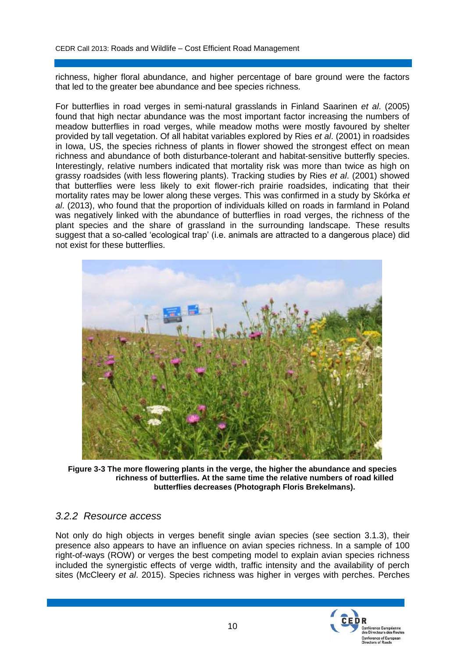richness, higher floral abundance, and higher percentage of bare ground were the factors that led to the greater bee abundance and bee species richness.

For butterflies in road verges in semi-natural grasslands in Finland Saarinen *et al*. (2005) found that high nectar abundance was the most important factor increasing the numbers of meadow butterflies in road verges, while meadow moths were mostly favoured by shelter provided by tall vegetation. Of all habitat variables explored by Ries *et al*. (2001) in roadsides in Iowa, US, the species richness of plants in flower showed the strongest effect on mean richness and abundance of both disturbance-tolerant and habitat-sensitive butterfly species. Interestingly, relative numbers indicated that mortality risk was more than twice as high on grassy roadsides (with less flowering plants). Tracking studies by Ries *et al*. (2001) showed that butterflies were less likely to exit flower-rich prairie roadsides, indicating that their mortality rates may be lower along these verges. This was confirmed in a study by Skórka *et al*. (2013), who found that the proportion of individuals killed on roads in farmland in Poland was negatively linked with the abundance of butterflies in road verges, the richness of the plant species and the share of grassland in the surrounding landscape. These results suggest that a so-called 'ecological trap' (i.e. animals are attracted to a dangerous place) did not exist for these butterflies.



**Figure 3-3 The more flowering plants in the verge, the higher the abundance and species richness of butterflies. At the same time the relative numbers of road killed butterflies decreases (Photograph Floris Brekelmans).**

#### *3.2.2 Resource access*

Not only do high objects in verges benefit single avian species (see section 3.1.3), their presence also appears to have an influence on avian species richness. In a sample of 100 right-of-ways (ROW) or verges the best competing model to explain avian species richness included the synergistic effects of verge width, traffic intensity and the availability of perch sites (McCleery *et al*. 2015). Species richness was higher in verges with perches. Perches

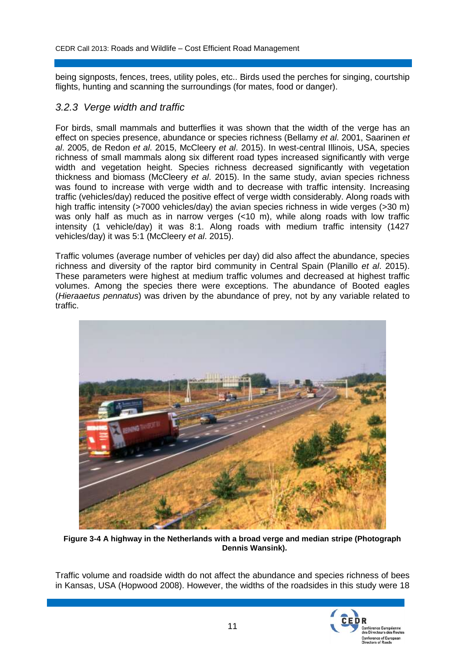being signposts, fences, trees, utility poles, etc.. Birds used the perches for singing, courtship flights, hunting and scanning the surroundings (for mates, food or danger).

#### *3.2.3 Verge width and traffic*

For birds, small mammals and butterflies it was shown that the width of the verge has an effect on species presence, abundance or species richness (Bellamy *et al*. 2001, Saarinen *et al*. 2005, de Redon *et al*. 2015, McCleery *et al*. 2015). In west-central Illinois, USA, species richness of small mammals along six different road types increased significantly with verge width and vegetation height. Species richness decreased significantly with vegetation thickness and biomass (McCleery *et al*. 2015). In the same study, avian species richness was found to increase with verge width and to decrease with traffic intensity. Increasing traffic (vehicles/day) reduced the positive effect of verge width considerably. Along roads with high traffic intensity (>7000 vehicles/day) the avian species richness in wide verges (>30 m) was only half as much as in narrow verges (<10 m), while along roads with low traffic intensity (1 vehicle/day) it was 8:1. Along roads with medium traffic intensity (1427 vehicles/day) it was 5:1 (McCleery *et al*. 2015).

Traffic volumes (average number of vehicles per day) did also affect the abundance, species richness and diversity of the raptor bird community in Central Spain (Planillo *et al*. 2015). These parameters were highest at medium traffic volumes and decreased at highest traffic volumes. Among the species there were exceptions. The abundance of Booted eagles (*Hieraaetus pennatus*) was driven by the abundance of prey, not by any variable related to traffic.



**Figure 3-4 A highway in the Netherlands with a broad verge and median stripe (Photograph Dennis Wansink).**

Traffic volume and roadside width do not affect the abundance and species richness of bees in Kansas, USA (Hopwood 2008). However, the widths of the roadsides in this study were 18

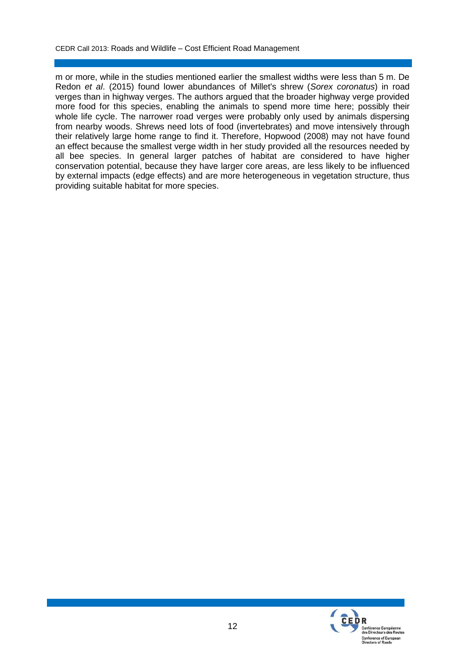m or more, while in the studies mentioned earlier the smallest widths were less than 5 m. De Redon *et al*. (2015) found lower abundances of Millet's shrew (*Sorex coronatus*) in road verges than in highway verges. The authors argued that the broader highway verge provided more food for this species, enabling the animals to spend more time here; possibly their whole life cycle. The narrower road verges were probably only used by animals dispersing from nearby woods. Shrews need lots of food (invertebrates) and move intensively through their relatively large home range to find it. Therefore, Hopwood (2008) may not have found an effect because the smallest verge width in her study provided all the resources needed by all bee species. In general larger patches of habitat are considered to have higher conservation potential, because they have larger core areas, are less likely to be influenced by external impacts (edge effects) and are more heterogeneous in vegetation structure, thus providing suitable habitat for more species.

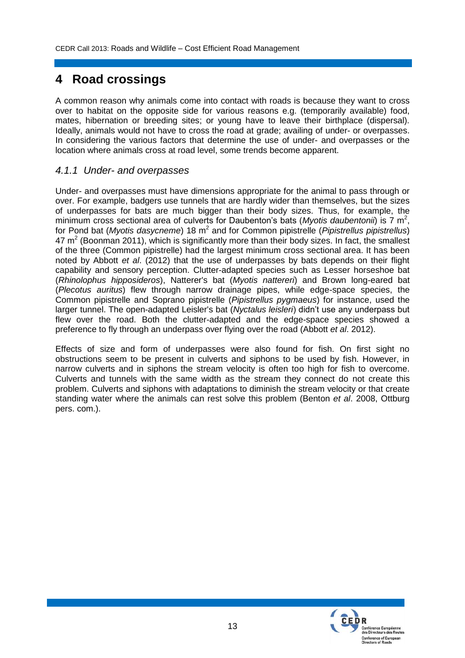## **4 Road crossings**

A common reason why animals come into contact with roads is because they want to cross over to habitat on the opposite side for various reasons e.g. (temporarily available) food, mates, hibernation or breeding sites; or young have to leave their birthplace (dispersal). Ideally, animals would not have to cross the road at grade; availing of under- or overpasses. In considering the various factors that determine the use of under- and overpasses or the location where animals cross at road level, some trends become apparent.

#### *4.1.1 Under- and overpasses*

Under- and overpasses must have dimensions appropriate for the animal to pass through or over. For example, badgers use tunnels that are hardly wider than themselves, but the sizes of underpasses for bats are much bigger than their body sizes. Thus, for example, the minimum cross sectional area of culverts for Daubenton's bats (Myotis daubentonii) is 7 m<sup>2</sup>, for Pond bat (*Myotis dasycneme*) 18 m<sup>2</sup> and for Common pipistrelle (*Pipistrellus pipistrellus*) 47 m<sup>2</sup> (Boonman 2011), which is significantly more than their body sizes. In fact, the smallest of the three (Common pipistrelle) had the largest minimum cross sectional area. It has been noted by Abbott *et al*. (2012) that the use of underpasses by bats depends on their flight capability and sensory perception. Clutter-adapted species such as Lesser horseshoe bat (*Rhinolophus hipposideros*), Natterer's bat (*Myotis nattereri*) and Brown long-eared bat (*Plecotus auritus*) flew through narrow drainage pipes, while edge-space species, the Common pipistrelle and Soprano pipistrelle (*Pipistrellus pygmaeus*) for instance, used the larger tunnel. The open-adapted Leisler's bat (*Nyctalus leisleri*) didn't use any underpass but flew over the road. Both the clutter-adapted and the edge-space species showed a preference to fly through an underpass over flying over the road (Abbott *et al*. 2012).

Effects of size and form of underpasses were also found for fish. On first sight no obstructions seem to be present in culverts and siphons to be used by fish. However, in narrow culverts and in siphons the stream velocity is often too high for fish to overcome. Culverts and tunnels with the same width as the stream they connect do not create this problem. Culverts and siphons with adaptations to diminish the stream velocity or that create standing water where the animals can rest solve this problem (Benton *et al*. 2008, Ottburg pers. com.).

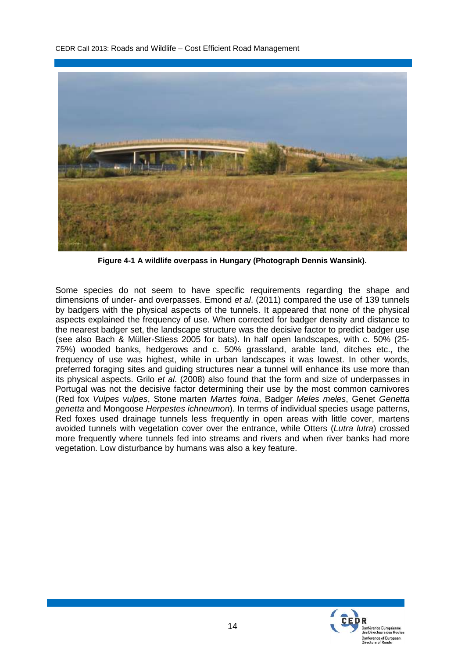

**Figure 4-1 A wildlife overpass in Hungary (Photograph Dennis Wansink).**

Some species do not seem to have specific requirements regarding the shape and dimensions of under- and overpasses. Emond *et al*. (2011) compared the use of 139 tunnels by badgers with the physical aspects of the tunnels. It appeared that none of the physical aspects explained the frequency of use. When corrected for badger density and distance to the nearest badger set, the landscape structure was the decisive factor to predict badger use (see also Bach & Müller-Stiess 2005 for bats). In half open landscapes, with c. 50% (25- 75%) wooded banks, hedgerows and c. 50% grassland, arable land, ditches etc., the frequency of use was highest, while in urban landscapes it was lowest. In other words, preferred foraging sites and guiding structures near a tunnel will enhance its use more than its physical aspects. Grilo *et al*. (2008) also found that the form and size of underpasses in Portugal was not the decisive factor determining their use by the most common carnivores (Red fox *Vulpes vulpes*, Stone marten *Martes foina*, Badger *Meles meles*, Genet *Genetta genetta* and Mongoose *Herpestes ichneumon*). In terms of individual species usage patterns, Red foxes used drainage tunnels less frequently in open areas with little cover, martens avoided tunnels with vegetation cover over the entrance, while Otters (*Lutra lutra*) crossed more frequently where tunnels fed into streams and rivers and when river banks had more vegetation. Low disturbance by humans was also a key feature.

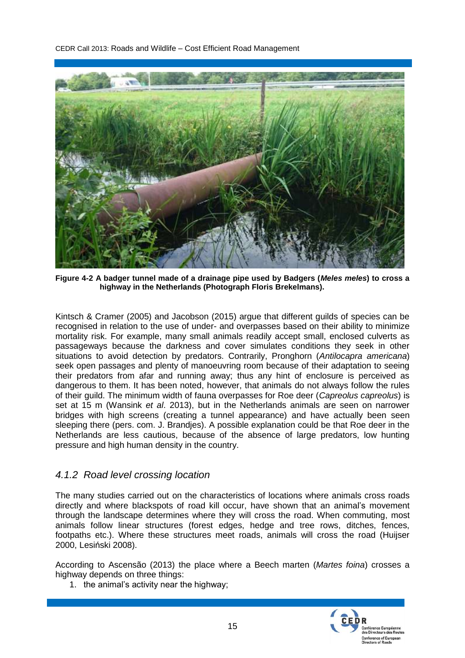

**Figure 4-2 A badger tunnel made of a drainage pipe used by Badgers (***Meles meles***) to cross a highway in the Netherlands (Photograph Floris Brekelmans).**

Kintsch & Cramer (2005) and Jacobson (2015) argue that different guilds of species can be recognised in relation to the use of under- and overpasses based on their ability to minimize mortality risk. For example, many small animals readily accept small, enclosed culverts as passageways because the darkness and cover simulates conditions they seek in other situations to avoid detection by predators. Contrarily, Pronghorn (*Antilocapra americana*) seek open passages and plenty of manoeuvring room because of their adaptation to seeing their predators from afar and running away; thus any hint of enclosure is perceived as dangerous to them. It has been noted, however, that animals do not always follow the rules of their guild. The minimum width of fauna overpasses for Roe deer (*Capreolus capreolus*) is set at 15 m (Wansink *et al*. 2013), but in the Netherlands animals are seen on narrower bridges with high screens (creating a tunnel appearance) and have actually been seen sleeping there (pers. com. J. Brandjes). A possible explanation could be that Roe deer in the Netherlands are less cautious, because of the absence of large predators, low hunting pressure and high human density in the country.

#### *4.1.2 Road level crossing location*

The many studies carried out on the characteristics of locations where animals cross roads directly and where blackspots of road kill occur, have shown that an animal's movement through the landscape determines where they will cross the road. When commuting, most animals follow linear structures (forest edges, hedge and tree rows, ditches, fences, footpaths etc.). Where these structures meet roads, animals will cross the road (Huijser 2000, Lesiński 2008).

According to Ascensão (2013) the place where a Beech marten (*Martes foina*) crosses a highway depends on three things:

1. the animal's activity near the highway;

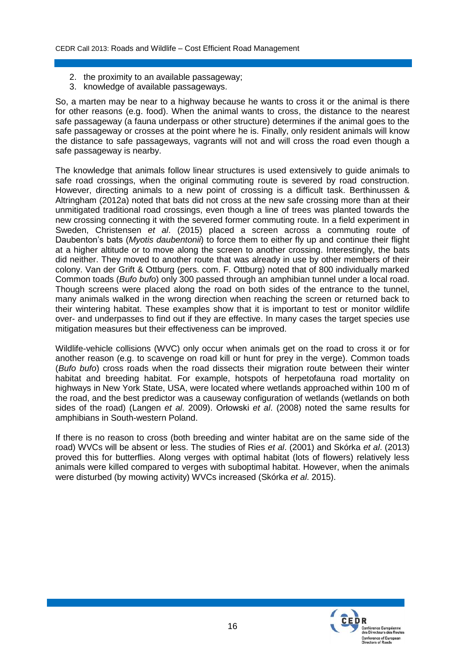- 2. the proximity to an available passageway;
- 3. knowledge of available passageways.

So, a marten may be near to a highway because he wants to cross it or the animal is there for other reasons (e.g. food). When the animal wants to cross, the distance to the nearest safe passageway (a fauna underpass or other structure) determines if the animal goes to the safe passageway or crosses at the point where he is. Finally, only resident animals will know the distance to safe passageways, vagrants will not and will cross the road even though a safe passageway is nearby.

The knowledge that animals follow linear structures is used extensively to guide animals to safe road crossings, when the original commuting route is severed by road construction. However, directing animals to a new point of crossing is a difficult task. Berthinussen & Altringham (2012a) noted that bats did not cross at the new safe crossing more than at their unmitigated traditional road crossings, even though a line of trees was planted towards the new crossing connecting it with the severed former commuting route. In a field experiment in Sweden, Christensen *et al*. (2015) placed a screen across a commuting route of Daubenton's bats (*Myotis daubentonii*) to force them to either fly up and continue their flight at a higher altitude or to move along the screen to another crossing. Interestingly, the bats did neither. They moved to another route that was already in use by other members of their colony. Van der Grift & Ottburg (pers. com. F. Ottburg) noted that of 800 individually marked Common toads (*Bufo bufo*) only 300 passed through an amphibian tunnel under a local road. Though screens were placed along the road on both sides of the entrance to the tunnel, many animals walked in the wrong direction when reaching the screen or returned back to their wintering habitat. These examples show that it is important to test or monitor wildlife over- and underpasses to find out if they are effective. In many cases the target species use mitigation measures but their effectiveness can be improved.

Wildlife-vehicle collisions (WVC) only occur when animals get on the road to cross it or for another reason (e.g. to scavenge on road kill or hunt for prey in the verge). Common toads (*Bufo bufo*) cross roads when the road dissects their migration route between their winter habitat and breeding habitat. For example, hotspots of herpetofauna road mortality on highways in New York State, USA, were located where wetlands approached within 100 m of the road, and the best predictor was a causeway configuration of wetlands (wetlands on both sides of the road) (Langen *et al*. 2009). Orłowski *et al*. (2008) noted the same results for amphibians in South-western Poland.

If there is no reason to cross (both breeding and winter habitat are on the same side of the road) WVCs will be absent or less. The studies of Ries *et al*. (2001) and Skórka *et al*. (2013) proved this for butterflies. Along verges with optimal habitat (lots of flowers) relatively less animals were killed compared to verges with suboptimal habitat. However, when the animals were disturbed (by mowing activity) WVCs increased (Skórka *et al*. 2015).

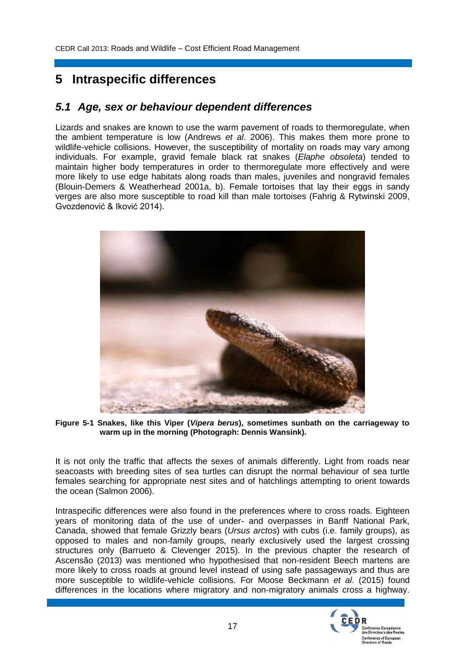# **5 Intraspecific differences**

#### *5.1 Age, sex or behaviour dependent differences*

Lizards and snakes are known to use the warm pavement of roads to thermoregulate, when the ambient temperature is low (Andrews *et al*. 2006). This makes them more prone to wildlife-vehicle collisions. However, the susceptibility of mortality on roads may vary among individuals. For example, gravid female black rat snakes (*Elaphe obsoleta*) tended to maintain higher body temperatures in order to thermoregulate more effectively and were more likely to use edge habitats along roads than males, juveniles and nongravid females (Blouin-Demers & Weatherhead 2001a, b). Female tortoises that lay their eggs in sandy verges are also more susceptible to road kill than male tortoises (Fahrig & Rytwinski 2009, Gvozdenović & Iković 2014).



**Figure 5-1 Snakes, like this Viper (***Vipera berus***), sometimes sunbath on the carriageway to warm up in the morning (Photograph: Dennis Wansink).**

It is not only the traffic that affects the sexes of animals differently. Light from roads near seacoasts with breeding sites of sea turtles can disrupt the normal behaviour of sea turtle females searching for appropriate nest sites and of hatchlings attempting to orient towards the ocean (Salmon 2006).

Intraspecific differences were also found in the preferences where to cross roads. Eighteen years of monitoring data of the use of under- and overpasses in Banff National Park, Canada, showed that female Grizzly bears (*Ursus arctos*) with cubs (i.e. family groups), as opposed to males and non-family groups, nearly exclusively used the largest crossing structures only (Barrueto & Clevenger 2015). In the previous chapter the research of Ascensão (2013) was mentioned who hypothesised that non-resident Beech martens are more likely to cross roads at ground level instead of using safe passageways and thus are more susceptible to wildlife-vehicle collisions. For Moose Beckmann *et al*. (2015) found differences in the locations where migratory and non-migratory animals cross a highway.

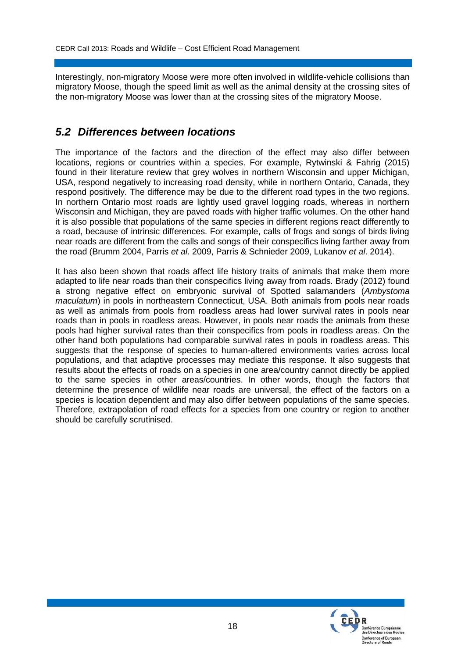Interestingly, non-migratory Moose were more often involved in wildlife-vehicle collisions than migratory Moose, though the speed limit as well as the animal density at the crossing sites of the non-migratory Moose was lower than at the crossing sites of the migratory Moose.

#### *5.2 Differences between locations*

The importance of the factors and the direction of the effect may also differ between locations, regions or countries within a species. For example, Rytwinski & Fahrig (2015) found in their literature review that grey wolves in northern Wisconsin and upper Michigan, USA, respond negatively to increasing road density, while in northern Ontario, Canada, they respond positively. The difference may be due to the different road types in the two regions. In northern Ontario most roads are lightly used gravel logging roads, whereas in northern Wisconsin and Michigan, they are paved roads with higher traffic volumes. On the other hand it is also possible that populations of the same species in different regions react differently to a road, because of intrinsic differences. For example, calls of frogs and songs of birds living near roads are different from the calls and songs of their conspecifics living farther away from the road (Brumm 2004, Parris *et al*. 2009, Parris & Schnieder 2009, Lukanov *et al*. 2014).

It has also been shown that roads affect life history traits of animals that make them more adapted to life near roads than their conspecifics living away from roads. Brady (2012) found a strong negative effect on embryonic survival of Spotted salamanders (*Ambystoma maculatum*) in pools in northeastern Connecticut, USA. Both animals from pools near roads as well as animals from pools from roadless areas had lower survival rates in pools near roads than in pools in roadless areas. However, in pools near roads the animals from these pools had higher survival rates than their conspecifics from pools in roadless areas. On the other hand both populations had comparable survival rates in pools in roadless areas. This suggests that the response of species to human-altered environments varies across local populations, and that adaptive processes may mediate this response. It also suggests that results about the effects of roads on a species in one area/country cannot directly be applied to the same species in other areas/countries. In other words, though the factors that determine the presence of wildlife near roads are universal, the effect of the factors on a species is location dependent and may also differ between populations of the same species. Therefore, extrapolation of road effects for a species from one country or region to another should be carefully scrutinised.

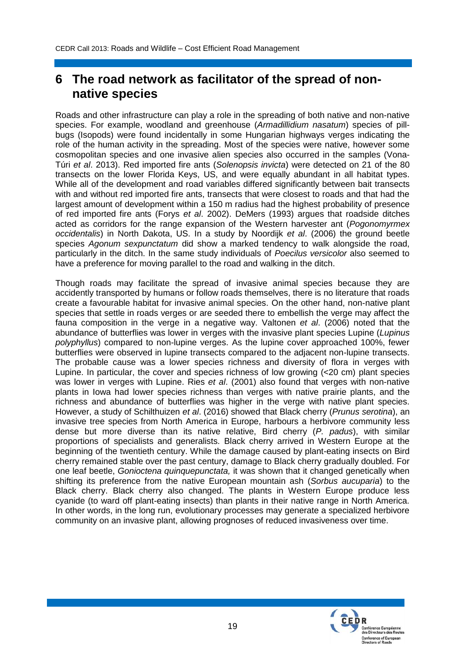### **6 The road network as facilitator of the spread of nonnative species**

Roads and other infrastructure can play a role in the spreading of both native and non-native species. For example, woodland and greenhouse (*Armadillidium nasatum*) species of pillbugs (Isopods) were found incidentally in some Hungarian highways verges indicating the role of the human activity in the spreading. Most of the species were native, however some cosmopolitan species and one invasive alien species also occurred in the samples (Vona-Túri *et al*. 2013). Red imported fire ants (*Solenopsis invicta*) were detected on 21 of the 80 transects on the lower Florida Keys, US, and were equally abundant in all habitat types. While all of the development and road variables differed significantly between bait transects with and without red imported fire ants, transects that were closest to roads and that had the largest amount of development within a 150 m radius had the highest probability of presence of red imported fire ants (Forys *et al*. 2002). DeMers (1993) argues that roadside ditches acted as corridors for the range expansion of the Western harvester ant (*Pogonomyrmex occidentalis*) in North Dakota, US. In a study by Noordijk *et al*. (2006) the ground beetle species *Agonum sexpunctatum* did show a marked tendency to walk alongside the road, particularly in the ditch. In the same study individuals of *Poecilus versicolor* also seemed to have a preference for moving parallel to the road and walking in the ditch.

Though roads may facilitate the spread of invasive animal species because they are accidently transported by humans or follow roads themselves, there is no literature that roads create a favourable habitat for invasive animal species. On the other hand, non-native plant species that settle in roads verges or are seeded there to embellish the verge may affect the fauna composition in the verge in a negative way. Valtonen *et al*. (2006) noted that the abundance of butterflies was lower in verges with the invasive plant species Lupine (*Lupinus polyphyllus*) compared to non-lupine verges. As the lupine cover approached 100%, fewer butterflies were observed in lupine transects compared to the adjacent non-lupine transects. The probable cause was a lower species richness and diversity of flora in verges with Lupine. In particular, the cover and species richness of low growing (<20 cm) plant species was lower in verges with Lupine. Ries *et al*. (2001) also found that verges with non-native plants in Iowa had lower species richness than verges with native prairie plants, and the richness and abundance of butterflies was higher in the verge with native plant species. However, a study of Schilthuizen *et al*. (2016) showed that Black cherry (*Prunus serotina*), an invasive tree species from North America in Europe, harbours a herbivore community less dense but more diverse than its native relative, Bird cherry (*P. padus*), with similar proportions of specialists and generalists. Black cherry arrived in Western Europe at the beginning of the twentieth century. While the damage caused by plant-eating insects on Bird cherry remained stable over the past century, damage to Black cherry gradually doubled. For one leaf beetle, *Gonioctena quinquepunctata,* it was shown that it changed genetically when shifting its preference from the native European mountain ash (*Sorbus aucuparia*) to the Black cherry. Black cherry also changed. The plants in Western Europe produce less cyanide (to ward off plant-eating insects) than plants in their native range in North America. In other words, in the long run, evolutionary processes may generate a specialized herbivore community on an invasive plant, allowing prognoses of reduced invasiveness over time.

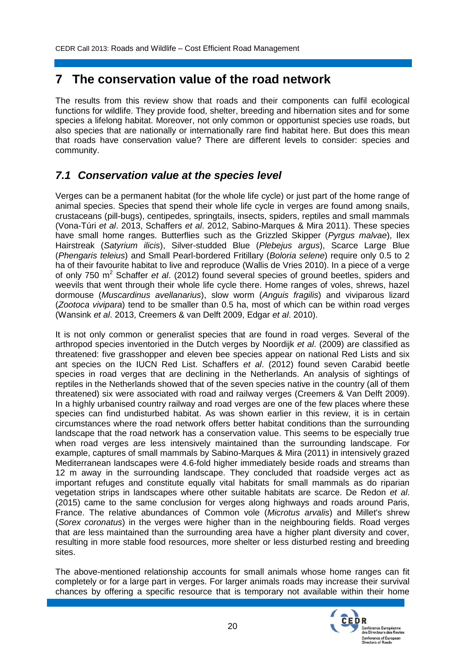### **7 The conservation value of the road network**

The results from this review show that roads and their components can fulfil ecological functions for wildlife. They provide food, shelter, breeding and hibernation sites and for some species a lifelong habitat. Moreover, not only common or opportunist species use roads, but also species that are nationally or internationally rare find habitat here. But does this mean that roads have conservation value? There are different levels to consider: species and community.

#### *7.1 Conservation value at the species level*

Verges can be a permanent habitat (for the whole life cycle) or just part of the home range of animal species. Species that spend their whole life cycle in verges are found among snails, crustaceans (pill-bugs), centipedes, springtails, insects, spiders, reptiles and small mammals (Vona-Túri *et al*. 2013, Schaffers *et al*. 2012, Sabino-Marques & Mira 2011). These species have small home ranges. Butterflies such as the Grizzled Skipper (*Pyrgus malvae*), Ilex Hairstreak (*Satyrium ilicis*), Silver-studded Blue (*Plebejus argus*), Scarce Large Blue (*Phengaris teleius*) and Small Pearl-bordered Fritillary (*Boloria selene*) require only 0.5 to 2 ha of their favourite habitat to live and reproduce (Wallis de Vries 2010). In a piece of a verge of only 750 m<sup>2</sup> Schaffer *et al*. (2012) found several species of ground beetles, spiders and weevils that went through their whole life cycle there. Home ranges of voles, shrews, hazel dormouse (*Muscardinus avellanarius*), slow worm (*Anguis fragilis*) and viviparous lizard (*Zootoca vivipara*) tend to be smaller than 0.5 ha, most of which can be within road verges (Wansink *et al*. 2013, Creemers & van Delft 2009, Edgar *et al*. 2010).

It is not only common or generalist species that are found in road verges. Several of the arthropod species inventoried in the Dutch verges by Noordijk *et al*. (2009) are classified as threatened: five grasshopper and eleven bee species appear on national Red Lists and six ant species on the IUCN Red List. Schaffers *et al*. (2012) found seven Carabid beetle species in road verges that are declining in the Netherlands. An analysis of sightings of reptiles in the Netherlands showed that of the seven species native in the country (all of them threatened) six were associated with road and railway verges (Creemers & Van Delft 2009). In a highly urbanised country railway and road verges are one of the few places where these species can find undisturbed habitat. As was shown earlier in this review, it is in certain circumstances where the road network offers better habitat conditions than the surrounding landscape that the road network has a conservation value. This seems to be especially true when road verges are less intensively maintained than the surrounding landscape. For example, captures of small mammals by Sabino-Marques & Mira (2011) in intensively grazed Mediterranean landscapes were 4.6-fold higher immediately beside roads and streams than 12 m away in the surrounding landscape. They concluded that roadside verges act as important refuges and constitute equally vital habitats for small mammals as do riparian vegetation strips in landscapes where other suitable habitats are scarce. De Redon *et al*. (2015) came to the same conclusion for verges along highways and roads around Paris, France. The relative abundances of Common vole (*Microtus arvalis*) and Millet's shrew (*Sorex coronatus*) in the verges were higher than in the neighbouring fields. Road verges that are less maintained than the surrounding area have a higher plant diversity and cover, resulting in more stable food resources, more shelter or less disturbed resting and breeding sites.

The above-mentioned relationship accounts for small animals whose home ranges can fit completely or for a large part in verges. For larger animals roads may increase their survival chances by offering a specific resource that is temporary not available within their home

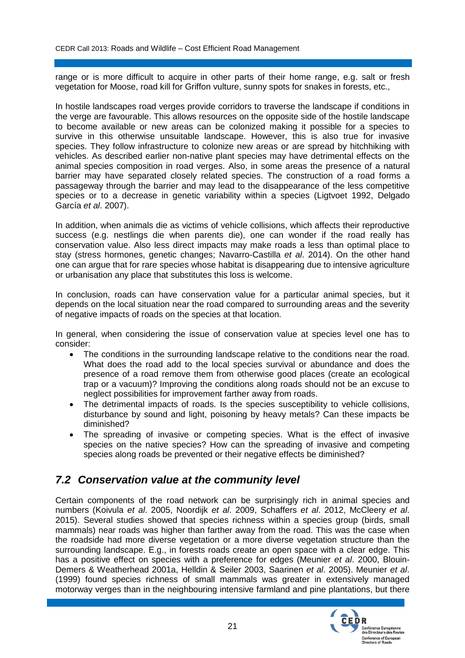range or is more difficult to acquire in other parts of their home range, e.g. salt or fresh vegetation for Moose, road kill for Griffon vulture, sunny spots for snakes in forests, etc.,

In hostile landscapes road verges provide corridors to traverse the landscape if conditions in the verge are favourable. This allows resources on the opposite side of the hostile landscape to become available or new areas can be colonized making it possible for a species to survive in this otherwise unsuitable landscape. However, this is also true for invasive species. They follow infrastructure to colonize new areas or are spread by hitchhiking with vehicles. As described earlier non-native plant species may have detrimental effects on the animal species composition in road verges. Also, in some areas the presence of a natural barrier may have separated closely related species. The construction of a road forms a passageway through the barrier and may lead to the disappearance of the less competitive species or to a decrease in genetic variability within a species (Ligtvoet 1992, Delgado García *et al*. 2007).

In addition, when animals die as victims of vehicle collisions, which affects their reproductive success (e.g. nestlings die when parents die), one can wonder if the road really has conservation value. Also less direct impacts may make roads a less than optimal place to stay (stress hormones, genetic changes; Navarro-Castilla *et al*. 2014). On the other hand one can argue that for rare species whose habitat is disappearing due to intensive agriculture or urbanisation any place that substitutes this loss is welcome.

In conclusion, roads can have conservation value for a particular animal species, but it depends on the local situation near the road compared to surrounding areas and the severity of negative impacts of roads on the species at that location.

In general, when considering the issue of conservation value at species level one has to consider:

- The conditions in the surrounding landscape relative to the conditions near the road. What does the road add to the local species survival or abundance and does the presence of a road remove them from otherwise good places (create an ecological trap or a vacuum)? Improving the conditions along roads should not be an excuse to neglect possibilities for improvement farther away from roads.
- The detrimental impacts of roads. Is the species susceptibility to vehicle collisions, disturbance by sound and light, poisoning by heavy metals? Can these impacts be diminished?
- The spreading of invasive or competing species. What is the effect of invasive species on the native species? How can the spreading of invasive and competing species along roads be prevented or their negative effects be diminished?

#### *7.2 Conservation value at the community level*

Certain components of the road network can be surprisingly rich in animal species and numbers (Koivula *et al*. 2005, Noordijk *et al*. 2009, Schaffers *et al*. 2012, McCleery *et al*. 2015). Several studies showed that species richness within a species group (birds, small mammals) near roads was higher than farther away from the road. This was the case when the roadside had more diverse vegetation or a more diverse vegetation structure than the surrounding landscape. E.g., in forests roads create an open space with a clear edge. This has a positive effect on species with a preference for edges (Meunier *et al*. 2000, Blouin-Demers & Weatherhead 2001a, Helldin & Seiler 2003, Saarinen *et al*. 2005). Meunier *et al*. (1999) found species richness of small mammals was greater in extensively managed motorway verges than in the neighbouring intensive farmland and pine plantations, but there

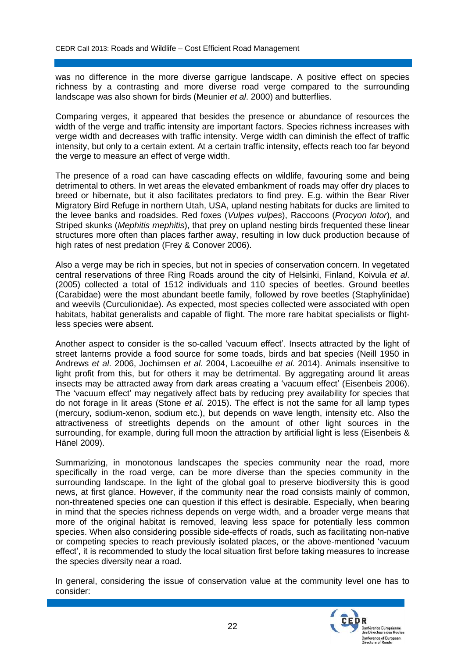was no difference in the more diverse garrigue landscape. A positive effect on species richness by a contrasting and more diverse road verge compared to the surrounding landscape was also shown for birds (Meunier *et al*. 2000) and butterflies.

Comparing verges, it appeared that besides the presence or abundance of resources the width of the verge and traffic intensity are important factors. Species richness increases with verge width and decreases with traffic intensity. Verge width can diminish the effect of traffic intensity, but only to a certain extent. At a certain traffic intensity, effects reach too far beyond the verge to measure an effect of verge width.

The presence of a road can have cascading effects on wildlife, favouring some and being detrimental to others. In wet areas the elevated embankment of roads may offer dry places to breed or hibernate, but it also facilitates predators to find prey. E.g. within the Bear River Migratory Bird Refuge in northern Utah, USA, upland nesting habitats for ducks are limited to the levee banks and roadsides. Red foxes (*Vulpes vulpes*), Raccoons (*Procyon lotor*), and Striped skunks (*Mephitis mephitis*), that prey on upland nesting birds frequented these linear structures more often than places farther away, resulting in low duck production because of high rates of nest predation (Frey & Conover 2006).

Also a verge may be rich in species, but not in species of conservation concern. In vegetated central reservations of three Ring Roads around the city of Helsinki, Finland, Koivula *et al*. (2005) collected a total of 1512 individuals and 110 species of beetles. Ground beetles (Carabidae) were the most abundant beetle family, followed by rove beetles (Staphylinidae) and weevils (Curculionidae). As expected, most species collected were associated with open habitats, habitat generalists and capable of flight. The more rare habitat specialists or flightless species were absent.

Another aspect to consider is the so-called 'vacuum effect'. Insects attracted by the light of street lanterns provide a food source for some toads, birds and bat species (Neill 1950 in Andrews *et al*. 2006, Jochimsen *et al*. 2004, Lacoeuilhe *et al*. 2014). Animals insensitive to light profit from this, but for others it may be detrimental. By aggregating around lit areas insects may be attracted away from dark areas creating a 'vacuum effect' (Eisenbeis 2006). The 'vacuum effect' may negatively affect bats by reducing prey availability for species that do not forage in lit areas (Stone *et al*. 2015). The effect is not the same for all lamp types (mercury, sodium-xenon, sodium etc.), but depends on wave length, intensity etc. Also the attractiveness of streetlights depends on the amount of other light sources in the surrounding, for example, during full moon the attraction by artificial light is less (Eisenbeis & Hänel 2009).

Summarizing, in monotonous landscapes the species community near the road, more specifically in the road verge, can be more diverse than the species community in the surrounding landscape. In the light of the global goal to preserve biodiversity this is good news, at first glance. However, if the community near the road consists mainly of common, non-threatened species one can question if this effect is desirable. Especially, when bearing in mind that the species richness depends on verge width, and a broader verge means that more of the original habitat is removed, leaving less space for potentially less common species. When also considering possible side-effects of roads, such as facilitating non-native or competing species to reach previously isolated places, or the above-mentioned 'vacuum effect', it is recommended to study the local situation first before taking measures to increase the species diversity near a road.

In general, considering the issue of conservation value at the community level one has to consider:

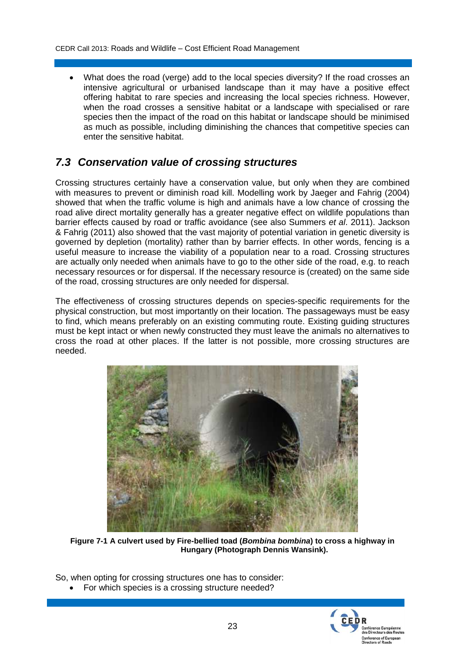What does the road (verge) add to the local species diversity? If the road crosses an intensive agricultural or urbanised landscape than it may have a positive effect offering habitat to rare species and increasing the local species richness. However, when the road crosses a sensitive habitat or a landscape with specialised or rare species then the impact of the road on this habitat or landscape should be minimised as much as possible, including diminishing the chances that competitive species can enter the sensitive habitat.

#### *7.3 Conservation value of crossing structures*

Crossing structures certainly have a conservation value, but only when they are combined with measures to prevent or diminish road kill. Modelling work by Jaeger and Fahrig (2004) showed that when the traffic volume is high and animals have a low chance of crossing the road alive direct mortality generally has a greater negative effect on wildlife populations than barrier effects caused by road or traffic avoidance (see also Summers *et al*. 2011). Jackson & Fahrig (2011) also showed that the vast majority of potential variation in genetic diversity is governed by depletion (mortality) rather than by barrier effects. In other words, fencing is a useful measure to increase the viability of a population near to a road. Crossing structures are actually only needed when animals have to go to the other side of the road, e.g. to reach necessary resources or for dispersal. If the necessary resource is (created) on the same side of the road, crossing structures are only needed for dispersal.

The effectiveness of crossing structures depends on species-specific requirements for the physical construction, but most importantly on their location. The passageways must be easy to find, which means preferably on an existing commuting route. Existing guiding structures must be kept intact or when newly constructed they must leave the animals no alternatives to cross the road at other places. If the latter is not possible, more crossing structures are needed.



**Figure 7-1 A culvert used by Fire-bellied toad (***Bombina bombina***) to cross a highway in Hungary (Photograph Dennis Wansink).**

So, when opting for crossing structures one has to consider:

For which species is a crossing structure needed?

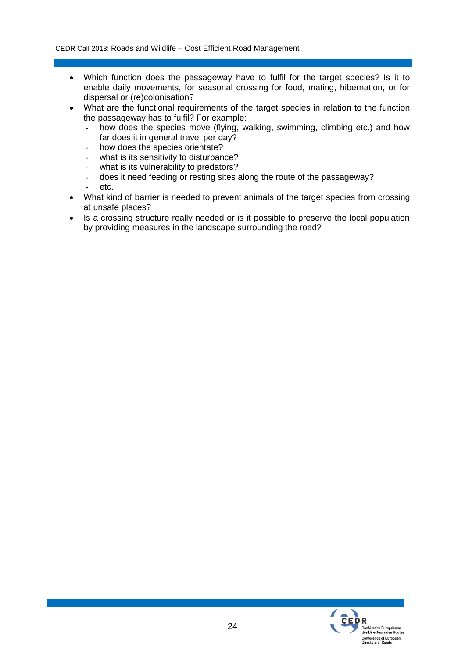- Which function does the passageway have to fulfil for the target species? Is it to enable daily movements, for seasonal crossing for food, mating, hibernation, or for dispersal or (re)colonisation?
- What are the functional requirements of the target species in relation to the function the passageway has to fulfil? For example:
	- how does the species move (flying, walking, swimming, climbing etc.) and how far does it in general travel per day?
	- how does the species orientate?
	- what is its sensitivity to disturbance?
	- what is its vulnerability to predators?
	- does it need feeding or resting sites along the route of the passageway?
	- etc.
- What kind of barrier is needed to prevent animals of the target species from crossing at unsafe places?
- Is a crossing structure really needed or is it possible to preserve the local population by providing measures in the landscape surrounding the road?

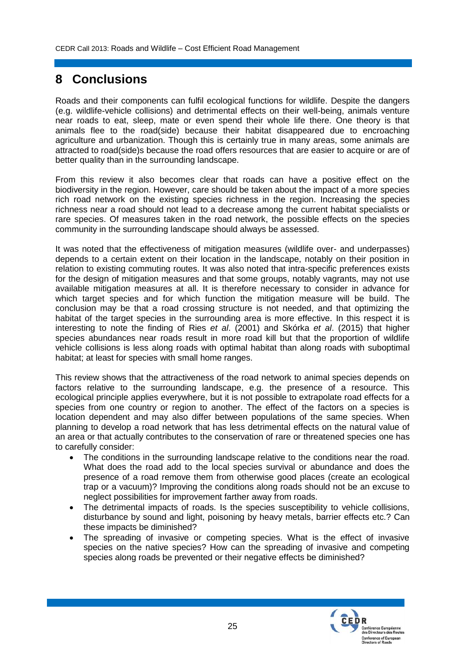# **8 Conclusions**

Roads and their components can fulfil ecological functions for wildlife. Despite the dangers (e.g. wildlife-vehicle collisions) and detrimental effects on their well-being, animals venture near roads to eat, sleep, mate or even spend their whole life there. One theory is that animals flee to the road(side) because their habitat disappeared due to encroaching agriculture and urbanization. Though this is certainly true in many areas, some animals are attracted to road(side)s because the road offers resources that are easier to acquire or are of better quality than in the surrounding landscape.

From this review it also becomes clear that roads can have a positive effect on the biodiversity in the region. However, care should be taken about the impact of a more species rich road network on the existing species richness in the region. Increasing the species richness near a road should not lead to a decrease among the current habitat specialists or rare species. Of measures taken in the road network, the possible effects on the species community in the surrounding landscape should always be assessed.

It was noted that the effectiveness of mitigation measures (wildlife over- and underpasses) depends to a certain extent on their location in the landscape, notably on their position in relation to existing commuting routes. It was also noted that intra-specific preferences exists for the design of mitigation measures and that some groups, notably vagrants, may not use available mitigation measures at all. It is therefore necessary to consider in advance for which target species and for which function the mitigation measure will be build. The conclusion may be that a road crossing structure is not needed, and that optimizing the habitat of the target species in the surrounding area is more effective. In this respect it is interesting to note the finding of Ries *et al*. (2001) and Skórka *et al*. (2015) that higher species abundances near roads result in more road kill but that the proportion of wildlife vehicle collisions is less along roads with optimal habitat than along roads with suboptimal habitat; at least for species with small home ranges.

This review shows that the attractiveness of the road network to animal species depends on factors relative to the surrounding landscape, e.g. the presence of a resource. This ecological principle applies everywhere, but it is not possible to extrapolate road effects for a species from one country or region to another. The effect of the factors on a species is location dependent and may also differ between populations of the same species. When planning to develop a road network that has less detrimental effects on the natural value of an area or that actually contributes to the conservation of rare or threatened species one has to carefully consider:

- The conditions in the surrounding landscape relative to the conditions near the road. What does the road add to the local species survival or abundance and does the presence of a road remove them from otherwise good places (create an ecological trap or a vacuum)? Improving the conditions along roads should not be an excuse to neglect possibilities for improvement farther away from roads.
- The detrimental impacts of roads. Is the species susceptibility to vehicle collisions, disturbance by sound and light, poisoning by heavy metals, barrier effects etc.? Can these impacts be diminished?
- The spreading of invasive or competing species. What is the effect of invasive species on the native species? How can the spreading of invasive and competing species along roads be prevented or their negative effects be diminished?

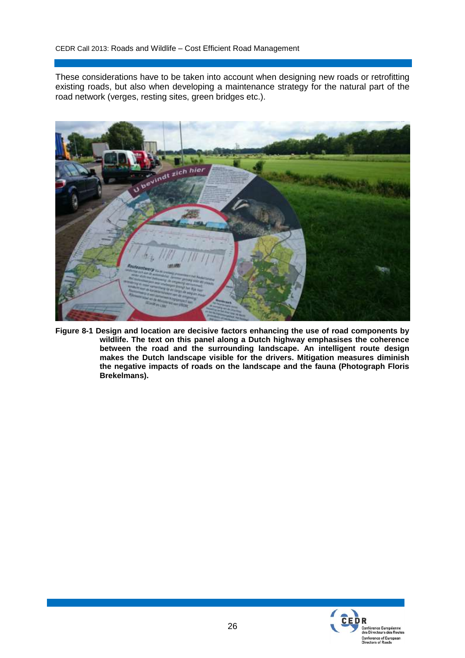These considerations have to be taken into account when designing new roads or retrofitting existing roads, but also when developing a maintenance strategy for the natural part of the road network (verges, resting sites, green bridges etc.).



**Figure 8-1 Design and location are decisive factors enhancing the use of road components by wildlife. The text on this panel along a Dutch highway emphasises the coherence between the road and the surrounding landscape. An intelligent route design makes the Dutch landscape visible for the drivers. Mitigation measures diminish the negative impacts of roads on the landscape and the fauna (Photograph Floris Brekelmans).**

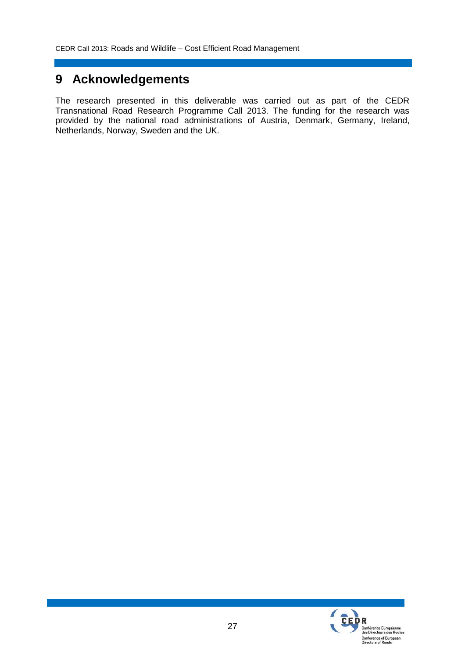# **9 Acknowledgements**

The research presented in this deliverable was carried out as part of the CEDR Transnational Road Research Programme Call 2013. The funding for the research was provided by the national road administrations of Austria, Denmark, Germany, Ireland, Netherlands, Norway, Sweden and the UK.

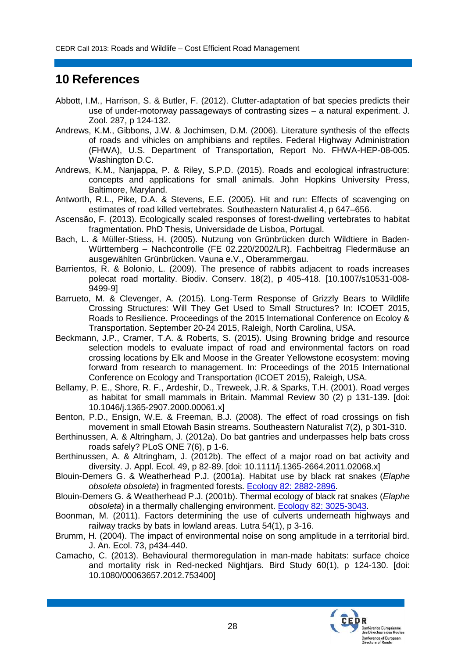### **10 References**

- Abbott, I.M., Harrison, S. & Butler, F. (2012). Clutter-adaptation of bat species predicts their use of under-motorway passageways of contrasting sizes – a natural experiment. J. Zool. 287, p 124-132.
- Andrews, K.M., Gibbons, J.W. & Jochimsen, D.M. (2006). Literature synthesis of the effects of roads and vihicles on amphibians and reptiles. Federal Highway Administration (FHWA), U.S. Department of Transportation, Report No. FHWA-HEP-08-005. Washington D.C.
- Andrews, K.M., Nanjappa, P. & Riley, S.P.D. (2015). Roads and ecological infrastructure: concepts and applications for small animals. John Hopkins University Press, Baltimore, Maryland.
- Antworth, R.L., Pike, D.A. & Stevens, E.E. (2005). Hit and run: Effects of scavenging on estimates of road killed vertebrates. Southeastern Naturalist 4, p 647–656.
- Ascensão, F. (2013). Ecologically scaled responses of forest-dwelling vertebrates to habitat fragmentation. PhD Thesis, Universidade de Lisboa, Portugal.
- Bach, L. & Müller-Stiess, H. (2005). Nutzung von Grünbrücken durch Wildtiere in Baden-Württemberg – Nachcontrolle (FE 02.220/2002/LR). Fachbeitrag Fledermäuse an ausgewählten Grünbrücken. Vauna e.V., Oberammergau.
- Barrientos, R. & Bolonio, L. (2009). The presence of rabbits adjacent to roads increases polecat road mortality. Biodiv. Conserv. 18(2), p 405-418. [10.1007/s10531-008- 9499-9]
- Barrueto, M. & Clevenger, A. (2015). Long-Term Response of Grizzly Bears to Wildlife Crossing Structures: Will They Get Used to Small Structures? In: ICOET 2015, Roads to Resilience. Proceedings of the 2015 International Conference on Ecoloy & Transportation. September 20-24 2015, Raleigh, North Carolina, USA.
- Beckmann, J.P., Cramer, T.A. & Roberts, S. (2015). Using Browning bridge and resource selection models to evaluate impact of road and environmental factors on road crossing locations by Elk and Moose in the Greater Yellowstone ecosystem: moving forward from research to management. In: Proceedings of the 2015 International Conference on Ecology and Transportation (ICOET 2015), Raleigh, USA.
- Bellamy, P. E., Shore, R. F., Ardeshir, D., Treweek, J.R. & Sparks, T.H. (2001). Road verges as habitat for small mammals in Britain. Mammal Review 30 (2) p 131-139. [doi: 10.1046/j.1365-2907.2000.00061.x]
- Benton, P.D., Ensign, W.E. & Freeman, B.J. (2008). The effect of road crossings on fish movement in small Etowah Basin streams. Southeastern Naturalist 7(2), p 301-310.
- Berthinussen, A. & Altringham, J. (2012a). Do bat gantries and underpasses help bats cross roads safely? PLoS ONE 7(6), p 1-6.
- Berthinussen, A. & Altringham, J. (2012b). The effect of a major road on bat activity and diversity. J. Appl. Ecol. 49, p 82-89. [doi: 10.1111/j.1365-2664.2011.02068.x]
- Blouin-Demers G. & Weatherhead P.J. (2001a). Habitat use by black rat snakes (*Elaphe obsoleta obsoleta*) in fragmented forests. [Ecology 82: 2882-2896.](http://mysite.science.uottawa.ca/gblouin/publications/006_2001_brs_habitat.pdf)
- Blouin-Demers G. & Weatherhead P.J. (2001b). Thermal ecology of black rat snakes (*Elaphe obsoleta*) in a thermally challenging environment. [Ecology 82: 3025-3043.](http://mysite.science.uottawa.ca/gblouin/publications/007_2001_brs_thermo.pdf)
- Boonman, M. (2011). Factors determining the use of culverts underneath highways and railway tracks by bats in lowland areas. Lutra 54(1), p 3-16.
- Brumm, H. (2004). The impact of environmental noise on song amplitude in a territorial bird. J. An. Ecol. 73, p434-440.
- Camacho, C. (2013). Behavioural thermoregulation in man-made habitats: surface choice and mortality risk in Red-necked Nightjars. Bird Study 60(1), p 124-130. [doi: 10.1080/00063657.2012.753400]

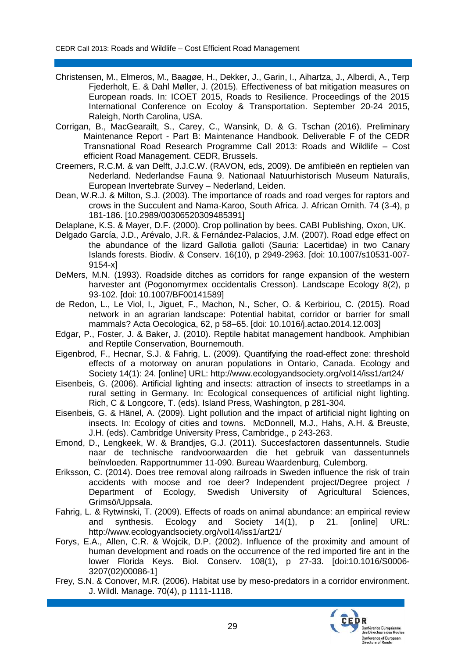- Christensen, M., Elmeros, M., Baagøe, H., Dekker, J., Garin, I., Aihartza, J., Alberdi, A., Terp Fjederholt, E. & Dahl Møller, J. (2015). Effectiveness of bat mitigation measures on European roads. In: ICOET 2015, Roads to Resilience. Proceedings of the 2015 International Conference on Ecoloy & Transportation. September 20-24 2015, Raleigh, North Carolina, USA.
- Corrigan, B., MacGearailt, S., Carey, C., Wansink, D. & G. Tschan (2016). Preliminary Maintenance Report - Part B: Maintenance Handbook. Deliverable F of the CEDR Transnational Road Research Programme Call 2013: Roads and Wildlife – Cost efficient Road Management. CEDR, Brussels.
- Creemers, R.C.M. & van Delft, J.J.C.W. (RAVON, eds, 2009). De amfibieën en reptielen van Nederland. Nederlandse Fauna 9. Nationaal Natuurhistorisch Museum Naturalis, European Invertebrate Survey – Nederland, Leiden.
- Dean, W.R.J. & Milton, S.J. (2003). The importance of roads and road verges for raptors and crows in the Succulent and Nama-Karoo, South Africa. J. African Ornith. 74 (3-4), p 181-186. [10.2989/00306520309485391]
- Delaplane, K.S. & Mayer, D.F. (2000). Crop pollination by bees. CABI Publishing, Oxon, UK.
- Delgado García, J.D., Arévalo, J.R. & Fernández-Palacios, J.M. (2007). Road edge effect on the abundance of the lizard Gallotia galloti (Sauria: Lacertidae) in two Canary Islands forests. Biodiv. & Conserv. 16(10), p 2949-2963. [doi: 10.1007/s10531-007- 9154-x]
- DeMers, M.N. (1993). Roadside ditches as corridors for range expansion of the western harvester ant (Pogonomyrmex occidentalis Cresson). Landscape Ecology 8(2), p 93-102. [doi: 10.1007/BF00141589]
- de Redon, L., Le Viol, I., Jiguet, F., Machon, N., Scher, O. & Kerbiriou, C. (2015). Road network in an agrarian landscape: Potential habitat, corridor or barrier for small mammals? Acta Oecologica, 62, p 58–65. [doi: 10.1016/j.actao.2014.12.003]
- Edgar, P., Foster, J. & Baker, J. (2010). Reptile habitat management handbook. Amphibian and Reptile Conservation, Bournemouth.
- Eigenbrod, F., Hecnar, S.J. & Fahrig, L. (2009). Quantifying the road-effect zone: threshold effects of a motorway on anuran populations in Ontario, Canada. Ecology and Society 14(1): 24. [online] URL: http://www.ecologyandsociety.org/vol14/iss1/art24/
- Eisenbeis, G. (2006). Artificial lighting and insects: attraction of insects to streetlamps in a rural setting in Germany. In: Ecological consequences of artificial night lighting. Rich, C & Longcore, T. (eds). Island Press, Washington, p 281-304.
- Eisenbeis, G. & Hänel, A. (2009). Light pollution and the impact of artificial night lighting on insects. In: Ecology of cities and towns. McDonnell, M.J., Hahs, A.H. & Breuste, J.H. (eds). Cambridge University Press, Cambridge., p 243-263.
- Emond, D., Lengkeek, W. & Brandjes, G.J. (2011). Succesfactoren dassentunnels. Studie naar de technische randvoorwaarden die het gebruik van dassentunnels beïnvloeden. Rapportnummer 11-090. Bureau Waardenburg, Culemborg.
- Eriksson, C. (2014). Does tree removal along railroads in Sweden influence the risk of train accidents with moose and roe deer? Independent project/Degree project / Department of Ecology, Swedish University of Agricultural Sciences, Grimsö/Uppsala.
- Fahrig, L. & Rytwinski, T. (2009). Effects of roads on animal abundance: an empirical review and synthesis. Ecology and Society 14(1), p 21. [online] URL: http://www.ecologyandsociety.org/vol14/iss1/art21/
- Forys, E.A., Allen, C.R. & Wojcik, D.P. (2002). Influence of the proximity and amount of human development and roads on the occurrence of the red imported fire ant in the lower Florida Keys. Biol. Conserv. 108(1), p 27-33. [doi:10.1016/S0006- 3207(02)00086-1]
- Frey, S.N. & Conover, M.R. (2006). Habitat use by meso-predators in a corridor environment. J. Wildl. Manage. 70(4), p 1111-1118.

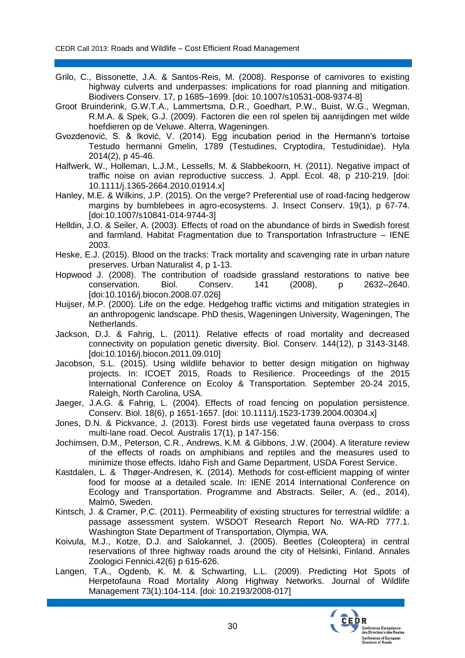- Grilo, C., Bissonette, J.A. & Santos-Reis, M. (2008). Response of carnivores to existing highway culverts and underpasses: implications for road planning and mitigation. Biodivers Conserv. 17, p 1685–1699. [doi: 10.1007/s10531-008-9374-8]
- Groot Bruinderink, G.W.T.A., Lammertsma, D.R., Goedhart, P.W., Buist, W.G., Wegman, R.M.A. & Spek, G.J. (2009). Factoren die een rol spelen bij aanrijdingen met wilde hoefdieren op de Veluwe. Alterra, Wageningen.
- Gvozdenović, S. & Iković, V. (2014). Egg incubation period in the Hermann's tortoise Testudo hermanni Gmelin, 1789 (Testudines, Cryptodira, Testudinidae). Hyla 2014(2), p 45-46.
- Halfwerk, W., Holleman, L.J.M., Lessells, M. & Slabbekoorn, H. (2011). Negative impact of traffic noise on avian reproductive success. J. Appl. Ecol. 48, p 210-219. [doi: 10.1111/j.1365-2664.2010.01914.x]
- Hanley, M.E. & Wilkins, J.P. (2015). On the verge? Preferential use of road-facing hedgerow margins by bumblebees in agro-ecosystems. J. Insect Conserv. 19(1), p 67-74. [doi:10.1007/s10841-014-9744-3]
- Helldin, J.O. & Seiler, A. (2003). Effects of road on the abundance of birds in Swedish forest and farmland. Habitat Fragmentation due to Transportation Infrastructure – IENE 2003.
- Heske, E.J. (2015). Blood on the tracks: Track mortality and scavenging rate in urban nature preserves. Urban Naturalist 4, p 1-13.
- Hopwood J. (2008). The contribution of roadside grassland restorations to native bee conservation. Biol. Conserv. 141 (2008), p 2632–2640. [doi:10.1016/j.biocon.2008.07.026]
- Huijser, M.P. (2000). Life on the edge. Hedgehog traffic victims and mitigation strategies in an anthropogenic landscape. PhD thesis, Wageningen University, Wageningen, The Netherlands.
- Jackson, D.J. & Fahrig, L. (2011). Relative effects of road mortality and decreased connectivity on population genetic diversity. Biol. Conserv. 144(12), p 3143-3148. [doi:10.1016/j.biocon.2011.09.010]
- Jacobson, S.L. (2015). Using wildlife behavior to better design mitigation on highway projects. In: ICOET 2015, Roads to Resilience. Proceedings of the 2015 International Conference on Ecoloy & Transportation. September 20-24 2015, Raleigh, North Carolina, USA.
- Jaeger, J.A.G. & Fahrig, L. (2004). Effects of road fencing on population persistence. Conserv. Biol. 18(6), p 1651-1657. [doi: 10.1111/j.1523-1739.2004.00304.x]
- Jones, D.N. & Pickvance, J. (2013). Forest birds use vegetated fauna overpass to cross multi-lane road. Oecol. Australis 17(1), p 147-156.
- Jochimsen, D.M., Peterson, C.R., Andrews, K.M. & Gibbons, J.W. (2004). A literature review of the effects of roads on amphibians and reptiles and the measures used to minimize those effects. Idaho Fish and Game Department, USDA Forest Service.
- Kastdalen, L. & Thøger-Andresen, K. (2014). Methods for cost-efficient mapping of winter food for moose at a detailed scale. In: IENE 2014 International Conference on Ecology and Transportation. Programme and Abstracts. Seiler, A. (ed., 2014), Malmö, Sweden.
- Kintsch, J. & Cramer, P.C. (2011). Permeability of existing structures for terrestrial wildlife: a passage assessment system. WSDOT Research Report No. WA-RD 777.1. Washington State Department of Transportation, Olympia, WA.
- Koivula, M.J., Kotze, D.J. and Salokannel, J. (2005). Beetles (Coleoptera) in central reservations of three highway roads around the city of Helsinki, Finland. Annales Zoologici Fennici.42(6) p 615-626.
- Langen, T.A., Ogdenb, K. M. & Schwarting, L.L. (2009). Predicting Hot Spots of Herpetofauna Road Mortality Along Highway Networks. Journal of Wildlife Management 73(1):104-114. [doi: 10.2193/2008-017]

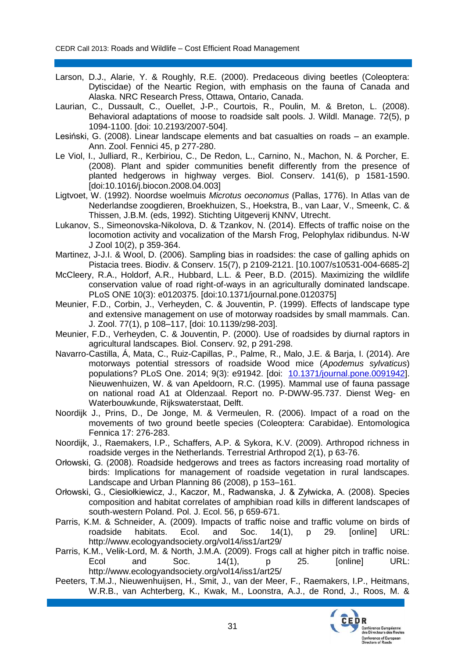- Larson, D.J., Alarie, Y. & Roughly, R.E. (2000). Predaceous diving beetles (Coleoptera: Dytiscidae) of the Neartic Region, with emphasis on the fauna of Canada and Alaska. NRC Research Press, Ottawa, Ontario, Canada.
- Laurian, C., Dussault, C., Ouellet, J-P., Courtois, R., Poulin, M. & Breton, L. (2008). Behavioral adaptations of moose to roadside salt pools. J. Wildl. Manage. 72(5), p 1094-1100. [doi: 10.2193/2007-504].
- Lesiński, G. (2008). Linear landscape elements and bat casualties on roads an example. Ann. Zool. Fennici 45, p 277-280.
- Le Viol, I., Julliard, R., Kerbiriou, C., De Redon, L., Carnino, N., Machon, N. & Porcher, E. (2008). Plant and spider communities benefit differently from the presence of planted hedgerows in highway verges. Biol. Conserv. 141(6), p 1581-1590. [doi:10.1016/j.biocon.2008.04.003]
- Ligtvoet, W. (1992). Noordse woelmuis *Microtus oeconomus* (Pallas, 1776). In Atlas van de Nederlandse zoogdieren, Broekhuizen, S., Hoekstra, B., van Laar, V., Smeenk, C. & Thissen, J.B.M. (eds, 1992). Stichting Uitgeverij KNNV, Utrecht.
- Lukanov, S., Simeonovska-Nikolova, D. & Tzankov, N. (2014). Effects of traffic noise on the locomotion activity and vocalization of the Marsh Frog, Pelophylax ridibundus. N-W J Zool 10(2), p 359-364.
- Martinez, J-J.I. & Wool, D. (2006). Sampling bias in roadsides: the case of galling aphids on Pistacia trees. Biodiv. & Conserv. 15(7), p 2109-2121. [10.1007/s10531-004-6685-2]
- McCleery, R.A., Holdorf, A.R., Hubbard, L.L. & Peer, B.D. (2015). Maximizing the wildlife conservation value of road right-of-ways in an agriculturally dominated landscape. PLoS ONE 10(3): e0120375. [doi:10.1371/journal.pone.0120375]
- Meunier, F.D., Corbin, J., Verheyden, C. & Jouventin, P. (1999). Effects of landscape type and extensive management on use of motorway roadsides by small mammals. Can. J. Zool. 77(1), p 108–117, [doi: 10.1139/z98-203].
- Meunier, F.D., Verheyden, C. & Jouventin, P. (2000). Use of roadsides by diurnal raptors in agricultural landscapes. Biol. Conserv. 92, p 291-298.
- Navarro-Castilla, Á, Mata, C., Ruiz-Capillas, P., Palme, R., Malo, J.E. & Barja, I. (2014). Are motorways potential stressors of roadside Wood mice (*Apodemus sylvaticus*) populations? PLoS One. 2014; 9(3): e91942. [doi: [10.1371/journal.pone.0091942\]](http://dx.doi.org/10.1371%2Fjournal.pone.0091942). Nieuwenhuizen, W. & van Apeldoorn, R.C. (1995). Mammal use of fauna passage on national road A1 at Oldenzaal. Report no. P-DWW-95.737. Dienst Weg- en Waterbouwkunde, Rijkswaterstaat, Delft.
- Noordijk J., Prins, D., De Jonge, M. & Vermeulen, R. (2006). Impact of a road on the movements of two ground beetle species (Coleoptera: Carabidae). Entomologica Fennica 17: 276-283.
- Noordijk, J., Raemakers, I.P., Schaffers, A.P. & Sykora, K.V. (2009). Arthropod richness in roadside verges in the Netherlands. Terrestrial Arthropod 2(1), p 63-76.
- Orłowski, G. (2008). Roadside hedgerows and trees as factors increasing road mortality of birds: Implications for management of roadside vegetation in rural landscapes. Landscape and Urban Planning 86 (2008), p 153–161.
- Orłowski, G., Ciesiołkiewicz, J., Kaczor, M., Radwanska, J. & Zyłwicka, A. (2008). Species composition and habitat correlates of amphibian road kills in different landscapes of south-western Poland. Pol. J. Ecol. 56, p 659-671.
- Parris, K.M. & Schneider, A. (2009). Impacts of traffic noise and traffic volume on birds of roadside habitats. Ecol. and Soc. 14(1), p 29. [online] URL: http://www.ecologyandsociety.org/vol14/iss1/art29/
- Parris, K.M., Velik-Lord, M. & North, J.M.A. (2009). Frogs call at higher pitch in traffic noise. Ecol and Soc. 14(1), p 25. [online] URL: http://www.ecologyandsociety.org/vol14/iss1/art25/
- Peeters, T.M.J., Nieuwenhuijsen, H., Smit, J., van der Meer, F., Raemakers, I.P., Heitmans, W.R.B., van Achterberg, K., Kwak, M., Loonstra, A.J., de Rond, J., Roos, M. &

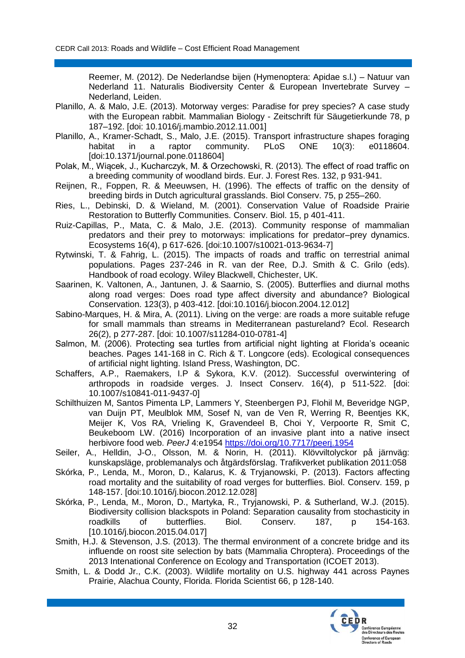Reemer, M. (2012). De Nederlandse bijen (Hymenoptera: Apidae s.l.) – Natuur van Nederland 11. Naturalis Biodiversity Center & European Invertebrate Survey – Nederland, Leiden.

- Planillo, A. & Malo, J.E. (2013). Motorway verges: Paradise for prey species? A case study with the European rabbit. Mammalian Biology - Zeitschrift für Säugetierkunde 78, p 187–192. [doi: 10.1016/j.mambio.2012.11.001]
- Planillo, A., Kramer-Schadt, S., Malo, J.E. (2015). Transport infrastructure shapes foraging habitat in a raptor community. PLoS ONE 10(3): e0118604. [doi:10.1371/journal.pone.0118604]
- Polak, M., Wiącek, J., Kucharczyk, M. & Orzechowski, R. (2013). The effect of road traffic on a breeding community of woodland birds. Eur. J. Forest Res. 132, p 931-941.
- Reijnen, R., Foppen, R. & Meeuwsen, H. (1996). The effects of traffic on the density of breeding birds in Dutch agricultural grasslands. Biol Conserv. 75, p 255–260.
- Ries, L., Debinski, D. & Wieland, M. (2001). Conservation Value of Roadside Prairie Restoration to Butterfly Communities. Conserv. Biol. 15, p 401-411.
- Ruiz-Capillas, P., Mata, C. & Malo, J.E. (2013). Community response of mammalian predators and their prey to motorways: implications for predator–prey dynamics. Ecosystems 16(4), p 617-626. [doi:10.1007/s10021-013-9634-7]
- Rytwinski, T. & Fahrig, L. (2015). The impacts of roads and traffic on terrestrial animal populations. Pages 237-246 in R. van der Ree, D.J. Smith & C. Grilo (eds). Handbook of road ecology. Wiley Blackwell, Chichester, UK.
- Saarinen, K. Valtonen, A., Jantunen, J. & Saarnio, S. (2005). Butterflies and diurnal moths along road verges: Does road type affect diversity and abundance? Biological Conservation. 123(3), p 403-412. [doi:10.1016/j.biocon.2004.12.012]
- Sabino-Marques, H. & Mira, A. (2011). Living on the verge: are roads a more suitable refuge for small mammals than streams in Mediterranean pastureland? Ecol. Research 26(2), p 277-287. [doi: 10.1007/s11284-010-0781-4]
- Salmon, M. (2006). Protecting sea turtles from artificial night lighting at Florida's oceanic beaches. Pages 141-168 in C. Rich & T. Longcore (eds). Ecological consequences of artificial night lighting. Island Press, Washington, DC.
- Schaffers, A.P., Raemakers, I.P & Sykora, K.V. (2012). Successful overwintering of arthropods in roadside verges. J. Insect Conserv. 16(4), p 511-522. [doi: 10.1007/s10841-011-9437-0]
- Schilthuizen M, Santos Pimenta LP, Lammers Y, Steenbergen PJ, Flohil M, Beveridge NGP, van Duijn PT, Meulblok MM, Sosef N, van de Ven R, Werring R, Beentjes KK, Meijer K, Vos RA, Vrieling K, Gravendeel B, Choi Y, Verpoorte R, Smit C, Beukeboom LW. (2016) Incorporation of an invasive plant into a native insect herbivore food web. *PeerJ* 4:e1954<https://doi.org/10.7717/peerj.1954>
- Seiler, A., Helldin, J-O., Olsson, M. & Norin, H. (2011). Klövviltolyckor på järnväg: kunskapsläge, problemanalys och åtgärdsförslag. Trafikverket publikation 2011:058
- Skórka, P., Lenda, M., Moron, D., Kalarus, K. & Tryjanowski, P. (2013). Factors affecting road mortality and the suitability of road verges for butterflies. Biol. Conserv. 159, p 148-157. [doi:10.1016/j.biocon.2012.12.028]
- Skórka, P., Lenda, M., Moron, D., Martyka, R., Tryjanowski, P. & Sutherland, W.J. (2015). Biodiversity collision blackspots in Poland: Separation causality from stochasticity in roadkills of butterflies. Biol. Conserv. 187, p 154-163. [10.1016/j.biocon.2015.04.017]
- Smith, H.J. & Stevenson, J.S. (2013). The thermal environment of a concrete bridge and its influende on roost site selection by bats (Mammalia Chroptera). Proceedings of the 2013 Intenational Conference on Ecology and Transportation (ICOET 2013).
- Smith, L. & Dodd Jr., C.K. (2003). Wildlife mortality on U.S. highway 441 across Paynes Prairie, Alachua County, Florida. Florida Scientist 66, p 128-140.